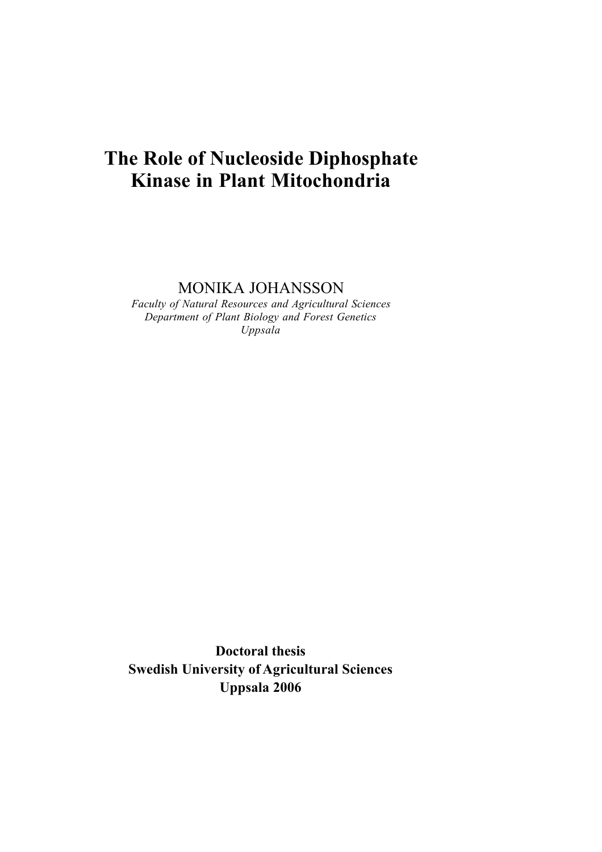# **The Role of Nucleoside Diphosphate Kinase in Plant Mitochondria**

MONIKA JOHANSSON

*Faculty of Natural Resources and Agricultural Sciences Department of Plant Biology and Forest Genetics Uppsala*

**Doctoral thesis Swedish University of Agricultural Sciences Uppsala 2006**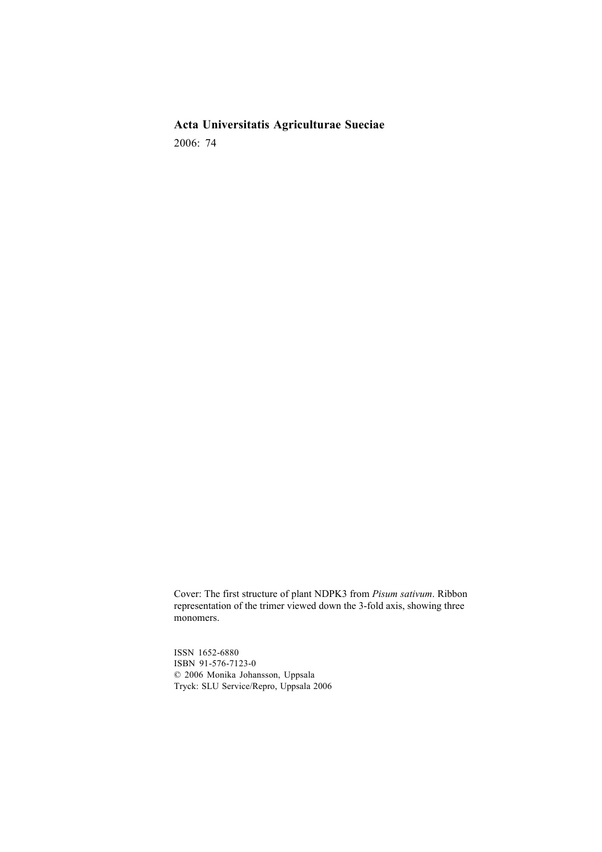**Acta Universitatis Agriculturae Sueciae** 2006: 74

Cover: The first structure of plant NDPK3 from *Pisum sativum*. Ribbon representation of the trimer viewed down the 3-fold axis, showing three monomers.

ISSN 1652-6880 ISBN 91-576-7123-0 © 2006 Monika Johansson, Uppsala Tryck: SLU Service/Repro, Uppsala 2006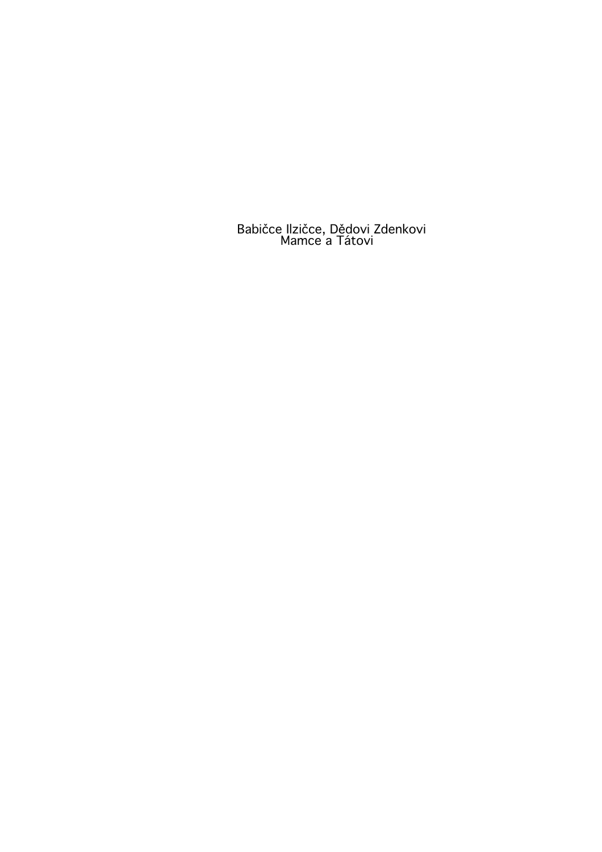Babičce Ilzičce, Dědovi Zdenkovi Mamce a Tátovi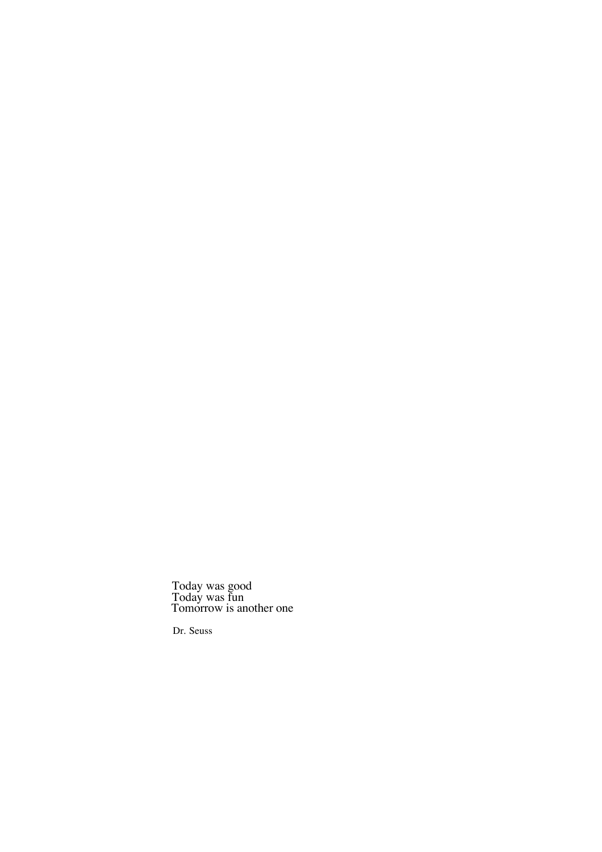Today was good Today was fun Tomorrow is another one

Dr. Seuss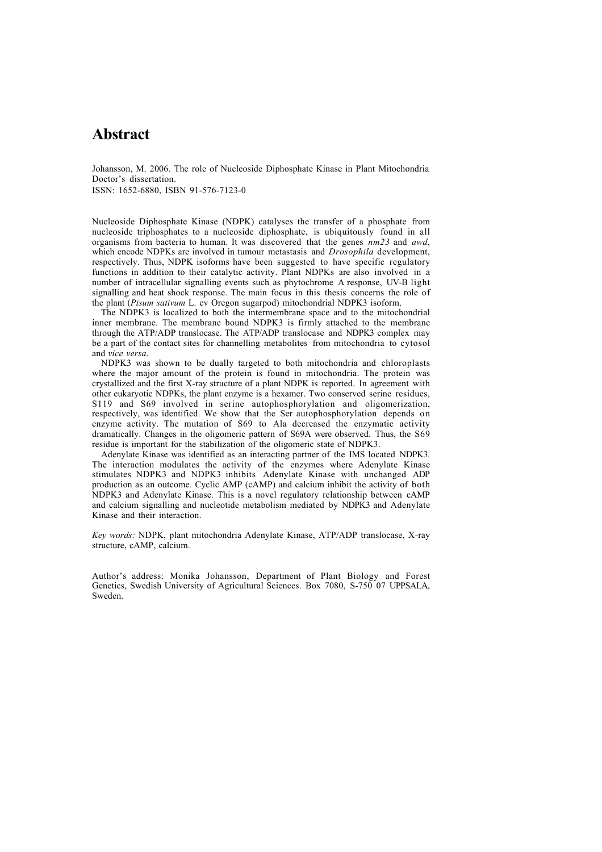## **Abstract**

Johansson, M. 2006. The role of Nucleoside Diphosphate Kinase in Plant Mitochondria Doctor's dissertation. ISSN: 1652-6880, ISBN 91-576-7123-0

Nucleoside Diphosphate Kinase (NDPK) catalyses the transfer of a phosphate from nucleoside triphosphates to a nucleoside diphosphate, is ubiquitously found in all organisms from bacteria to human. It was discovered that the genes *nm23* and *awd*, which encode NDPKs are involved in tumour metastasis and *Drosophila* development, respectively. Thus, NDPK isoforms have been suggested to have specific regulatory functions in addition to their catalytic activity. Plant NDPKs are also involved in a number of intracellular signalling events such as phytochrome A response, UV-B light signalling and heat shock response. The main focus in this thesis concerns the role of the plant (*Pisum sativum* L. cv Oregon sugarpod) mitochondrial NDPK3 isoform.

The NDPK3 is localized to both the intermembrane space and to the mitochondrial inner membrane. The membrane bound NDPK3 is firmly attached to the membrane through the ATP/ADP translocase. The ATP/ADP translocase and NDPK3 complex may be a part of the contact sites for channelling metabolites from mitochondria to cytosol and *vice versa*.

NDPK3 was shown to be dually targeted to both mitochondria and chloroplasts where the major amount of the protein is found in mitochondria. The protein was crystallized and the first X-ray structure of a plant NDPK is reported. In agreement with other eukaryotic NDPKs, the plant enzyme is a hexamer. Two conserved serine residues, S119 and S69 involved in serine autophosphorylation and oligomerization, respectively, was identified. We show that the Ser autophosphorylation depends on enzyme activity. The mutation of S69 to Ala decreased the enzymatic activity dramatically. Changes in the oligomeric pattern of S69A were observed. Thus, the S69 residue is important for the stabilization of the oligomeric state of NDPK3.

Adenylate Kinase was identified as an interacting partner of the IMS located NDPK3. The interaction modulates the activity of the enzymes where Adenylate Kinase stimulates NDPK3 and NDPK3 inhibits Adenylate Kinase with unchanged ADP production as an outcome. Cyclic AMP (cAMP) and calcium inhibit the activity of both NDPK3 and Adenylate Kinase. This is a novel regulatory relationship between cAMP and calcium signalling and nucleotide metabolism mediated by NDPK3 and Adenylate Kinase and their interaction.

*Key words:* NDPK, plant mitochondria Adenylate Kinase, ATP/ADP translocase, X-ray structure, cAMP, calcium.

Author's address: Monika Johansson, Department of Plant Biology and Forest Genetics, Swedish University of Agricultural Sciences. Box 7080, S-750 07 UPPSALA, Sweden.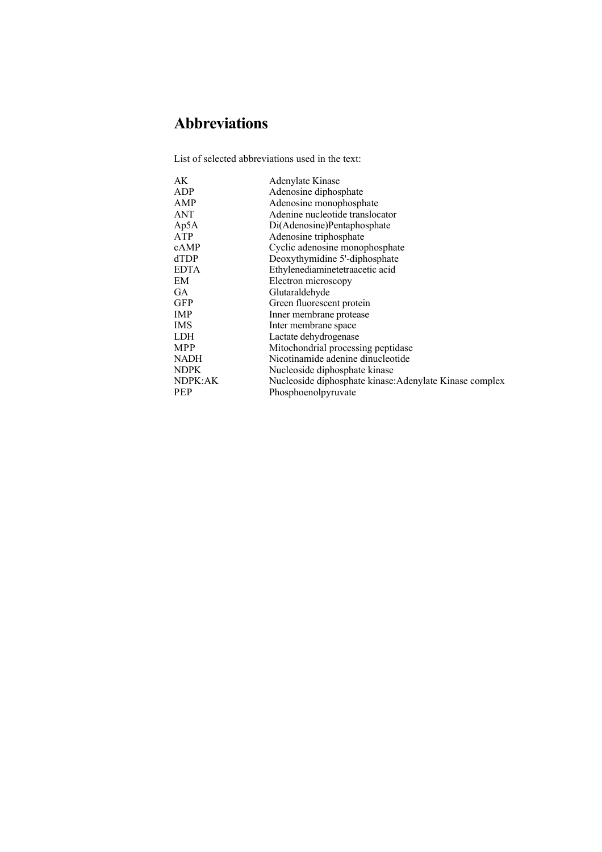# **Abbreviations**

List of selected abbreviations used in the text:

| Adenylate Kinase                                        |
|---------------------------------------------------------|
| Adenosine diphosphate                                   |
| Adenosine monophosphate                                 |
| Adenine nucleotide translocator                         |
| Di(Adenosine)Pentaphosphate                             |
| Adenosine triphosphate                                  |
| Cyclic adenosine monophosphate                          |
| Deoxythymidine 5'-diphosphate                           |
| Ethylenediaminetetraacetic acid                         |
| Electron microscopy                                     |
| Glutaraldehyde                                          |
| Green fluorescent protein                               |
| Inner membrane protease                                 |
| Inter membrane space                                    |
| Lactate dehydrogenase                                   |
| Mitochondrial processing peptidase                      |
| Nicotinamide adenine dinucleotide                       |
| Nucleoside diphosphate kinase                           |
| Nucleoside diphosphate kinase: Adenylate Kinase complex |
| Phosphoenolpyruvate                                     |
|                                                         |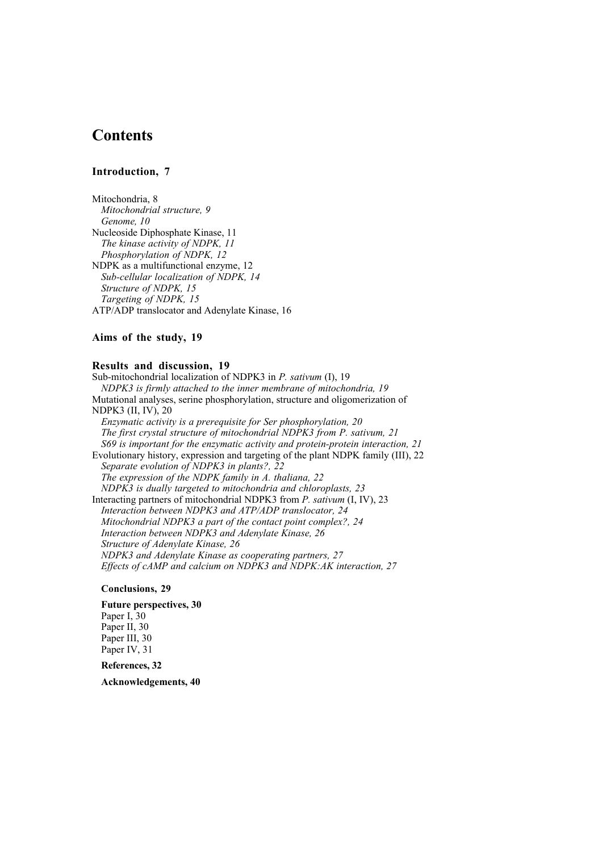## **Contents**

## **Introduction, 7**

Mitochondria, 8 *Mitochondrial structure, 9 Genome, 10* Nucleoside Diphosphate Kinase, 11 *The kinase activity of NDPK, 11 Phosphorylation of NDPK, 12* NDPK as a multifunctional enzyme, 12 *Sub-cellular localization of NDPK, 14 Structure of NDPK, 15 Targeting of NDPK, 15* ATP/ADP translocator and Adenylate Kinase, 16

## **Aims of the study, 19**

#### **Results and discussion, 19**

Sub-mitochondrial localization of NDPK3 in *P. sativum* (I), 19 *NDPK3 is firmly attached to the inner membrane of mitochondria, 19* Mutational analyses, serine phosphorylation, structure and oligomerization of NDPK3 (II, IV), 20 *Enzymatic activity is a prerequisite for Ser phosphorylation, 20 The first crystal structure of mitochondrial NDPK3 from P. sativum, 21 S69 is important for the enzymatic activity and protein-protein interaction, 21* Evolutionary history, expression and targeting of the plant NDPK family (III), 22 *Separate evolution of NDPK3 in plants?, 22 The expression of the NDPK family in A. thaliana, 22 NDPK3 is dually targeted to mitochondria and chloroplasts, 23* Interacting partners of mitochondrial NDPK3 from *P. sativum* (I, IV), 23 *Interaction between NDPK3 and ATP/ADP translocator, 24 Mitochondrial NDPK3 a part of the contact point complex?, 24 Interaction between NDPK3 and Adenylate Kinase, 26 Structure of Adenylate Kinase, 26 NDPK3 and Adenylate Kinase as cooperating partners, 27 Effects of cAMP and calcium on NDPK3 and NDPK:AK interaction, 27*

#### **Conclusions, 29**

**Future perspectives, 30** Paper I, 30 Paper II, 30 Paper III, 30 Paper IV, 31

**References, 32**

**Acknowledgements, 40**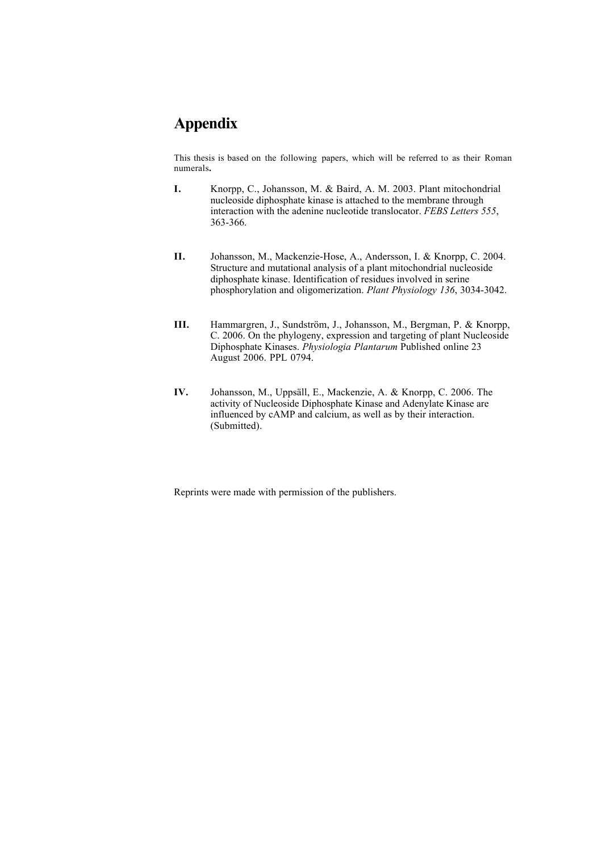## **Appendix**

This thesis is based on the following papers, which will be referred to as their Roman numerals**.**

- **I.** Knorpp, C., Johansson, M. & Baird, A. M. 2003. Plant mitochondrial nucleoside diphosphate kinase is attached to the membrane through interaction with the adenine nucleotide translocator. *FEBS Letters 555*, 363-366.
- **II.** Johansson, M., Mackenzie-Hose, A., Andersson, I. & Knorpp, C. 2004. Structure and mutational analysis of a plant mitochondrial nucleoside diphosphate kinase. Identification of residues involved in serine phosphorylation and oligomerization. *Plant Physiology 136*, 3034-3042.
- **III.** Hammargren, J., Sundström, J., Johansson, M., Bergman, P. & Knorpp, C. 2006. On the phylogeny, expression and targeting of plant Nucleoside Diphosphate Kinases. *Physiologia Plantarum* Published online 23 August 2006. PPL 0794.
- **IV.** Johansson, M., Uppsäll, E., Mackenzie, A. & Knorpp, C. 2006. The activity of Nucleoside Diphosphate Kinase and Adenylate Kinase are influenced by cAMP and calcium, as well as by their interaction. (Submitted).

Reprints were made with permission of the publishers.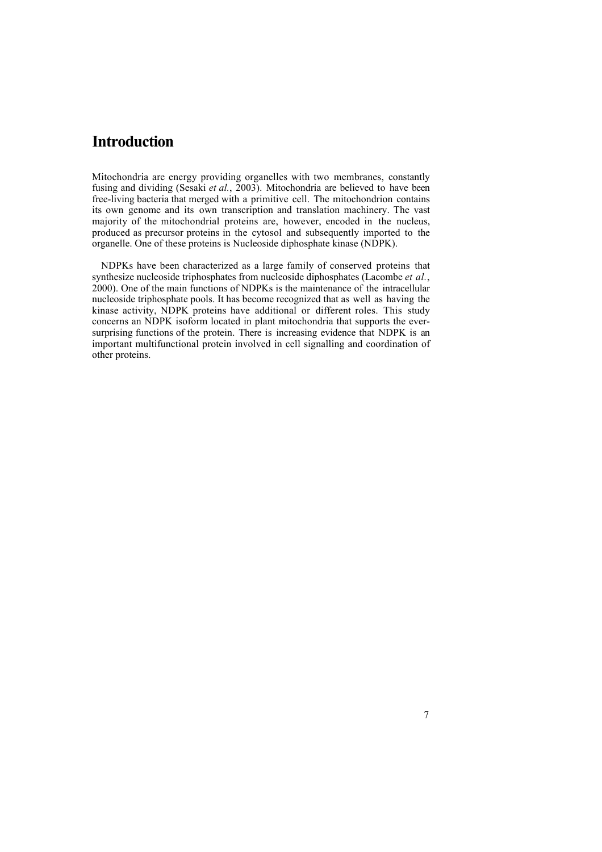## **Introduction**

Mitochondria are energy providing organelles with two membranes, constantly fusing and dividing (Sesaki *et al.*, 2003). Mitochondria are believed to have been free-living bacteria that merged with a primitive cell. The mitochondrion contains its own genome and its own transcription and translation machinery. The vast majority of the mitochondrial proteins are, however, encoded in the nucleus, produced as precursor proteins in the cytosol and subsequently imported to the organelle. One of these proteins is Nucleoside diphosphate kinase (NDPK).

NDPKs have been characterized as a large family of conserved proteins that synthesize nucleoside triphosphates from nucleoside diphosphates (Lacombe *et al.*, 2000). One of the main functions of NDPKs is the maintenance of the intracellular nucleoside triphosphate pools. It has become recognized that as well as having the kinase activity, NDPK proteins have additional or different roles. This study concerns an NDPK isoform located in plant mitochondria that supports the eversurprising functions of the protein. There is increasing evidence that NDPK is an important multifunctional protein involved in cell signalling and coordination of other proteins.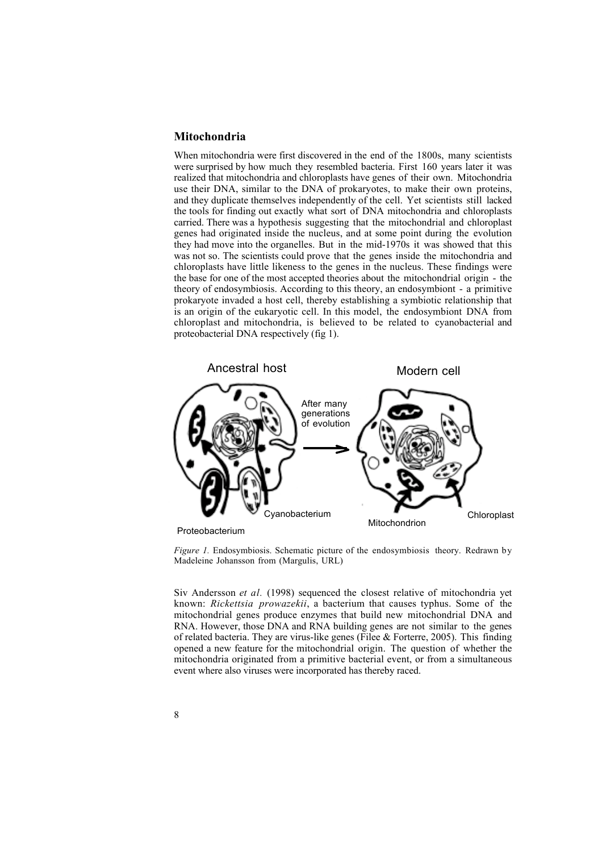#### **Mitochondria**

When mitochondria were first discovered in the end of the 1800s, many scientists were surprised by how much they resembled bacteria. First 160 years later it was realized that mitochondria and chloroplasts have genes of their own. Mitochondria use their DNA, similar to the DNA of prokaryotes, to make their own proteins, and they duplicate themselves independently of the cell. Yet scientists still lacked the tools for finding out exactly what sort of DNA mitochondria and chloroplasts carried. There was a hypothesis suggesting that the mitochondrial and chloroplast genes had originated inside the nucleus, and at some point during the evolution they had move into the organelles. But in the mid-1970s it was showed that this was not so. The scientists could prove that the genes inside the mitochondria and chloroplasts have little likeness to the genes in the nucleus. These findings were the base for one of the most accepted theories about the mitochondrial origin - the theory of endosymbiosis. According to this theory, an endosymbiont - a primitive prokaryote invaded a host cell, thereby establishing a symbiotic relationship that is an origin of the eukaryotic cell. In this model, the endosymbiont DNA from chloroplast and mitochondria, is believed to be related to cyanobacterial and proteobacterial DNA respectively (fig 1).



Proteobacterium

*Figure 1.* Endosymbiosis. Schematic picture of the endosymbiosis theory. Redrawn by Madeleine Johansson from (Margulis, URL)

Siv Andersson *et al.* (1998) sequenced the closest relative of mitochondria yet known: *Rickettsia prowazekii*, a bacterium that causes typhus. Some of the mitochondrial genes produce enzymes that build new mitochondrial DNA and RNA. However, those DNA and RNA building genes are not similar to the genes of related bacteria. They are virus-like genes (Filee  $&$  Forterre, 2005). This finding opened a new feature for the mitochondrial origin. The question of whether the mitochondria originated from a primitive bacterial event, or from a simultaneous event where also viruses were incorporated has thereby raced.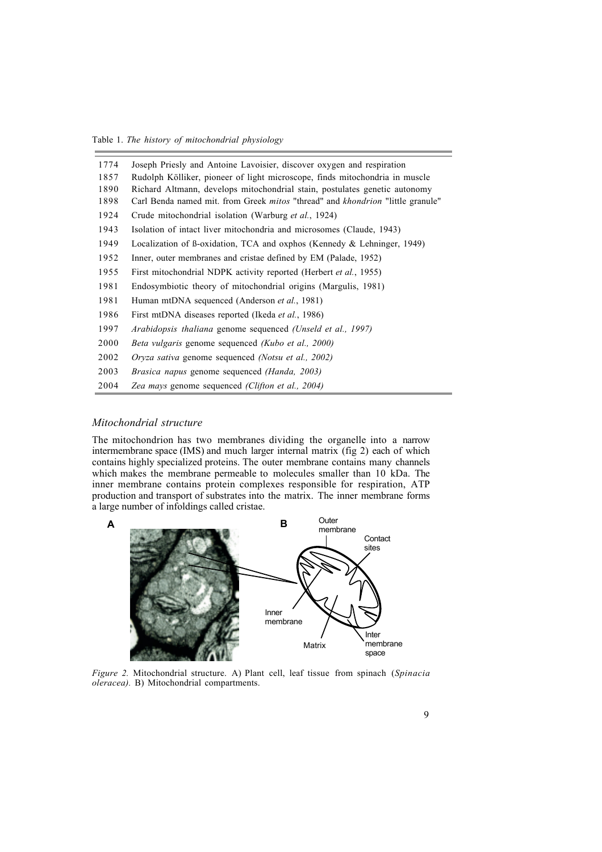Table 1. *The history of mitochondrial physiology*

| 1774 | Joseph Priesly and Antoine Lavoisier, discover oxygen and respiration                        |
|------|----------------------------------------------------------------------------------------------|
| 1857 | Rudolph Kölliker, pioneer of light microscope, finds mitochondria in muscle                  |
| 1890 | Richard Altmann, develops mitochondrial stain, postulates genetic autonomy                   |
| 1898 | Carl Benda named mit. from Greek <i>mitos</i> "thread" and <i>khondrion</i> "little granule" |
| 1924 | Crude mitochondrial isolation (Warburg et al., 1924)                                         |
| 1943 | Isolation of intact liver mitochondria and microsomes (Claude, 1943)                         |
| 1949 | Localization of B-oxidation, TCA and oxphos (Kennedy & Lehninger, 1949)                      |
| 1952 | Inner, outer membranes and cristae defined by EM (Palade, 1952)                              |
| 1955 | First mitochondrial NDPK activity reported (Herbert <i>et al.</i> , 1955)                    |
| 1981 | Endosymbiotic theory of mitochondrial origins (Margulis, 1981)                               |
| 1981 | Human mtDNA sequenced (Anderson et al., 1981)                                                |
| 1986 | First mtDNA diseases reported (Ikeda <i>et al.</i> , 1986)                                   |
| 1997 | Arabidopsis thaliana genome sequenced (Unseld et al., 1997)                                  |
| 2000 | Beta vulgaris genome sequenced (Kubo et al., 2000)                                           |
| 2002 | <i>Oryza sativa</i> genome sequenced <i>(Notsu et al., 2002)</i>                             |
| 2003 | Brasica napus genome sequenced (Handa, 2003)                                                 |
| 2004 | Zea mays genome sequenced (Clifton et al., 2004)                                             |

#### *Mitochondrial structure*

The mitochondrion has two membranes dividing the organelle into a narrow intermembrane space (IMS) and much larger internal matrix (fig 2) each of which contains highly specialized proteins. The outer membrane contains many channels which makes the membrane permeable to molecules smaller than 10 kDa. The inner membrane contains protein complexes responsible for respiration, ATP production and transport of substrates into the matrix. The inner membrane forms a large number of infoldings called cristae.



*Figure 2.* Mitochondrial structure. A) Plant cell, leaf tissue from spinach (*Spinacia oleracea).* B) Mitochondrial compartments.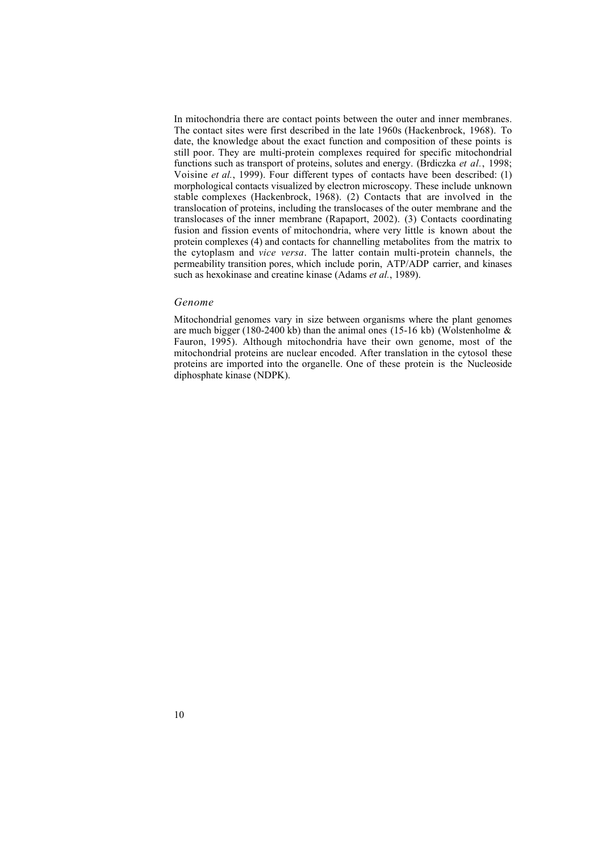In mitochondria there are contact points between the outer and inner membranes. The contact sites were first described in the late 1960s (Hackenbrock, 1968). To date, the knowledge about the exact function and composition of these points is still poor. They are multi-protein complexes required for specific mitochondrial functions such as transport of proteins, solutes and energy. (Brdiczka *et al.*, 1998; Voisine *et al.*, 1999). Four different types of contacts have been described: (1) morphological contacts visualized by electron microscopy. These include unknown stable complexes (Hackenbrock, 1968). (2) Contacts that are involved in the translocation of proteins, including the translocases of the outer membrane and the translocases of the inner membrane (Rapaport, 2002). (3) Contacts coordinating fusion and fission events of mitochondria, where very little is known about the protein complexes (4) and contacts for channelling metabolites from the matrix to the cytoplasm and *vice versa*. The latter contain multi-protein channels, the permeability transition pores, which include porin, ATP/ADP carrier, and kinases such as hexokinase and creatine kinase (Adams *et al.*, 1989).

#### *Genome*

Mitochondrial genomes vary in size between organisms where the plant genomes are much bigger (180-2400 kb) than the animal ones (15-16 kb) (Wolstenholme  $\&$ Fauron, 1995). Although mitochondria have their own genome, most of the mitochondrial proteins are nuclear encoded. After translation in the cytosol these proteins are imported into the organelle. One of these protein is the Nucleoside diphosphate kinase (NDPK).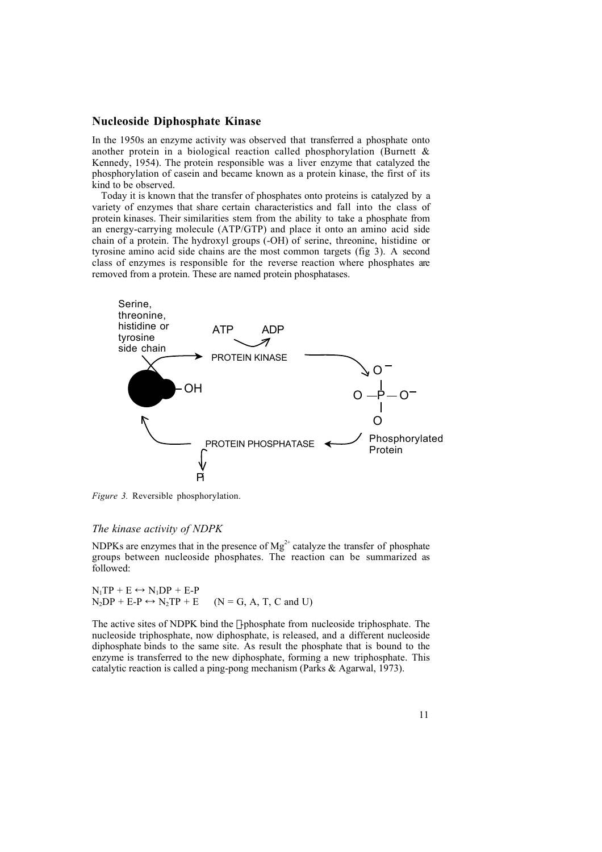### **Nucleoside Diphosphate Kinase**

In the 1950s an enzyme activity was observed that transferred a phosphate onto another protein in a biological reaction called phosphorylation (Burnett  $\&$ Kennedy, 1954). The protein responsible was a liver enzyme that catalyzed the phosphorylation of casein and became known as a protein kinase, the first of its kind to be observed.

Today it is known that the transfer of phosphates onto proteins is catalyzed by a variety of enzymes that share certain characteristics and fall into the class of protein kinases. Their similarities stem from the ability to take a phosphate from an energy-carrying molecule (ATP/GTP) and place it onto an amino acid side chain of a protein. The hydroxyl groups (-OH) of serine, threonine, histidine or tyrosine amino acid side chains are the most common targets (fig 3). A second class of enzymes is responsible for the reverse reaction where phosphates are removed from a protein. These are named protein phosphatases.



*Figure 3.* Reversible phosphorylation.

#### *The kinase activity of NDPK*

NDPKs are enzymes that in the presence of  $Mg^{2+}$  catalyze the transfer of phosphate groups between nucleoside phosphates. The reaction can be summarized as followed:

 $N_1TP + E \leftrightarrow N_1DP + E-P$  $N_2DP + E-P \leftrightarrow N_2TP + E$  (N = G, A, T, C and U)

The active sites of NDPK bind the  $\gamma$ -phosphate from nucleoside triphosphate. The nucleoside triphosphate, now diphosphate, is released, and a different nucleoside diphosphate binds to the same site. As result the phosphate that is bound to the enzyme is transferred to the new diphosphate, forming a new triphosphate. This catalytic reaction is called a ping-pong mechanism (Parks & Agarwal, 1973).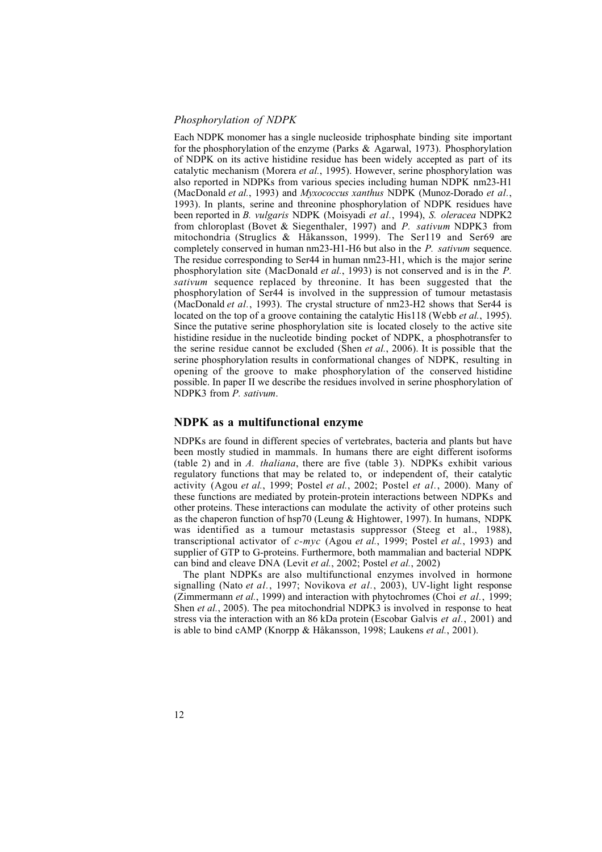### *Phosphorylation of NDPK*

Each NDPK monomer has a single nucleoside triphosphate binding site important for the phosphorylation of the enzyme (Parks  $\&$  Agarwal, 1973). Phosphorylation of NDPK on its active histidine residue has been widely accepted as part of its catalytic mechanism (Morera *et al.*, 1995). However, serine phosphorylation was also reported in NDPKs from various species including human NDPK nm23-H1 (MacDonald *et al.*, 1993) and *Myxococcus xanthus* NDPK (Munoz-Dorado *et al.*, 1993). In plants, serine and threonine phosphorylation of NDPK residues have been reported in *B. vulgaris* NDPK (Moisyadi *et al.*, 1994), *S. oleracea* NDPK2 from chloroplast (Bovet & Siegenthaler, 1997) and *P. sativum* NDPK3 from mitochondria (Struglics & Håkansson, 1999). The Ser119 and Ser69 are completely conserved in human nm23-H1-H6 but also in the *P. sativum* sequence. The residue corresponding to Ser44 in human nm23-H1, which is the major serine phosphorylation site (MacDonald *et al.*, 1993) is not conserved and is in the *P. sativum* sequence replaced by threonine. It has been suggested that the phosphorylation of Ser44 is involved in the suppression of tumour metastasis (MacDonald *et al.*, 1993). The crystal structure of nm23-H2 shows that Ser44 is located on the top of a groove containing the catalytic His118 (Webb *et al.*, 1995). Since the putative serine phosphorylation site is located closely to the active site histidine residue in the nucleotide binding pocket of NDPK, a phosphotransfer to the serine residue cannot be excluded (Shen *et al.*, 2006). It is possible that the serine phosphorylation results in conformational changes of NDPK, resulting in opening of the groove to make phosphorylation of the conserved histidine possible. In paper II we describe the residues involved in serine phosphorylation of NDPK3 from *P. sativum*.

### **NDPK as a multifunctional enzyme**

NDPKs are found in different species of vertebrates, bacteria and plants but have been mostly studied in mammals. In humans there are eight different isoforms (table 2) and in *A. thaliana*, there are five (table 3). NDPKs exhibit various regulatory functions that may be related to, or independent of, their catalytic activity (Agou *et al.*, 1999; Postel *et al.*, 2002; Postel *et al.*, 2000). Many of these functions are mediated by protein-protein interactions between NDPKs and other proteins. These interactions can modulate the activity of other proteins such as the chaperon function of hsp70 (Leung & Hightower, 1997). In humans, NDPK was identified as a tumour metastasis suppressor (Steeg et al., 1988), transcriptional activator of *c-myc* (Agou *et al.*, 1999; Postel *et al.*, 1993) and supplier of GTP to G-proteins. Furthermore, both mammalian and bacterial NDPK can bind and cleave DNA (Levit *et al.*, 2002; Postel *et al.*, 2002)

The plant NDPKs are also multifunctional enzymes involved in hormone signalling (Nato *et al.*, 1997; Novikova *et al.*, 2003), UV-light light response (Zimmermann *et al.*, 1999) and interaction with phytochromes (Choi *et al.*, 1999; Shen *et al.*, 2005). The pea mitochondrial NDPK3 is involved in response to heat stress via the interaction with an 86 kDa protein (Escobar Galvis *et al.*, 2001) and is able to bind cAMP (Knorpp & Håkansson, 1998; Laukens *et al.*, 2001).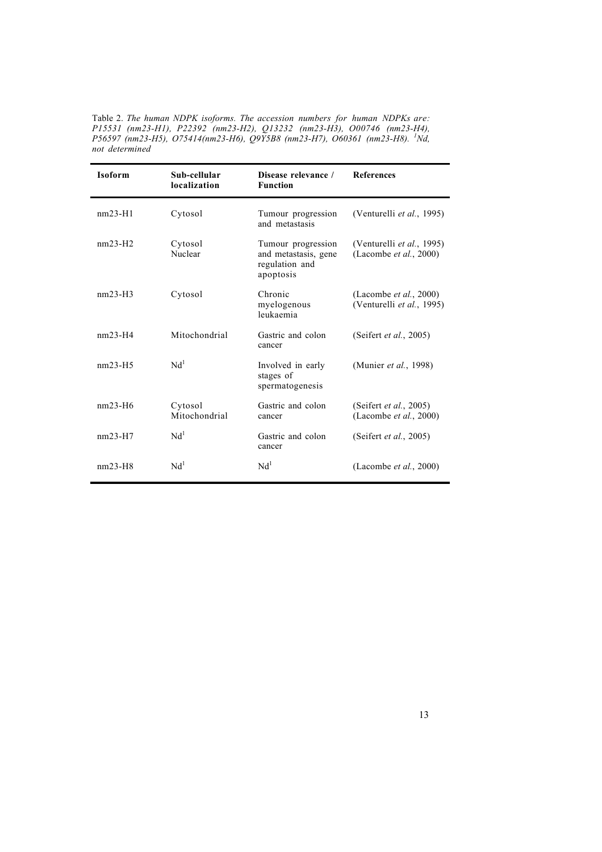Table 2. *The human NDPK isoforms. The accession numbers for human NDPKs are: P15531 (nm23-H1), P22392 (nm23-H2), Q13232 (nm23-H3), O00746 (nm23-H4), P56597 (nm23-H5), O75414(nm23-H6), Q9Y5B8 (nm23-H7), O60361 (nm23-H8). <sup>1</sup> Nd, not determined*

| <b>Isoform</b> | Sub-cellular<br>localization | Disease relevance /<br><b>Function</b>                                    | <b>References</b>                                           |
|----------------|------------------------------|---------------------------------------------------------------------------|-------------------------------------------------------------|
| $nm23-H1$      | Cytosol                      | Tumour progression<br>and metastasis                                      | (Venturelli et al., 1995)                                   |
| $nm23-H2$      | Cytosol<br>Nuclear           | Tumour progression<br>and metastasis, gene<br>regulation and<br>apoptosis | (Venturelli et al., 1995)<br>(Lacombe <i>et al.</i> , 2000) |
| $nm23-H3$      | Cytosol                      | Chronic<br>myelogenous<br>leukaemia                                       | (Lacombe <i>et al.</i> , 2000)<br>(Venturelli et al., 1995) |
| $nm23-H4$      | Mitochondrial                | Gastric and colon<br>cancer                                               | (Seifert et al., 2005)                                      |
| $nm23-H5$      | Nd <sup>1</sup>              | Involved in early<br>stages of<br>spermatogenesis                         | (Munier et al., 1998)                                       |
| $nm23-H6$      | Cytosol<br>Mitochondrial     | Gastric and colon<br>cancer                                               | (Seifert et al., 2005)<br>(Lacombe <i>et al.</i> , 2000)    |
| $nm23-H7$      | Nd <sup>1</sup>              | Gastric and colon<br>cancer                                               | (Seifert <i>et al.</i> , 2005)                              |
| $nm23-H8$      | Nd <sup>1</sup>              | Nd <sup>1</sup>                                                           | (Lacombe <i>et al.</i> , 2000)                              |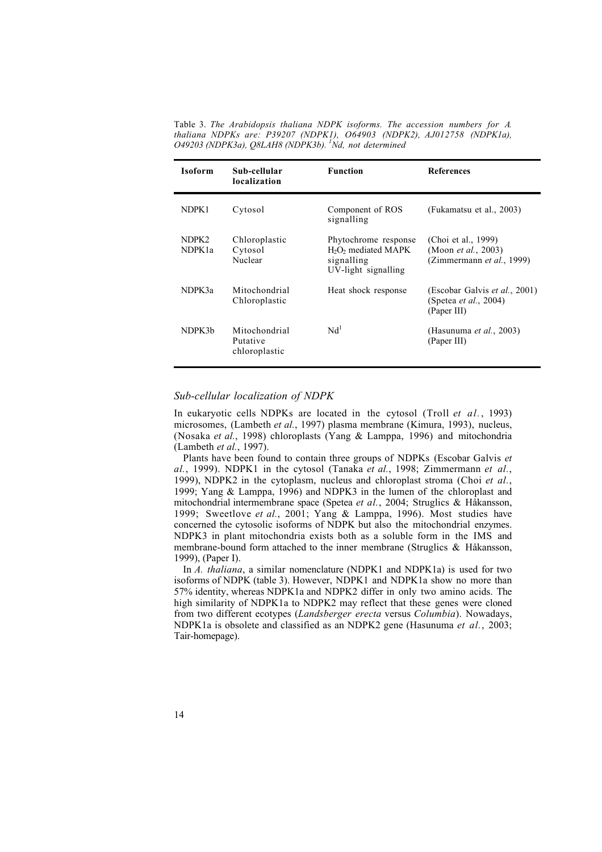Table 3. *The Arabidopsis thaliana NDPK isoforms. The accession numbers for A. thaliana NDPKs are: P39207 (NDPK1), O64903 (NDPK2), AJ012758 (NDPK1a), O49203 (NDPK3a), Q8LAH8 (NDPK3b). 1 Nd, not determined*

| <b>Isoform</b>               | Sub-cellular<br>localization               | <b>Function</b>                                                                                          | <b>References</b>                                                                     |
|------------------------------|--------------------------------------------|----------------------------------------------------------------------------------------------------------|---------------------------------------------------------------------------------------|
| NDPK1                        | Cytosol                                    | Component of ROS<br>signalling                                                                           | (Fukamatsu et al., 2003)                                                              |
| NDPK2<br>NDPK <sub>1</sub> a | Chloroplastic<br>Cytosol<br>Nuclear        | Phytochrome response<br>H <sub>2</sub> O <sub>2</sub> mediated MAPK<br>signalling<br>UV-light signalling | (Choi et al., 1999)<br>(Moon <i>et al.</i> , 2003)<br>(Zimmermann et al., 1999)       |
| NDPK3a                       | Mitochondrial<br>Chloroplastic             | Heat shock response                                                                                      | (Escobar Galvis <i>et al.</i> , 2001)<br>(Spetea <i>et al.</i> , 2004)<br>(Paper III) |
| NDPK3b                       | Mitochondrial<br>Putative<br>chloroplastic | Nd <sup>1</sup>                                                                                          | (Hasunuma et al., 2003)<br>(Paper III)                                                |

### *Sub-cellular localization of NDPK*

In eukaryotic cells NDPKs are located in the cytosol (Troll *et al.*, 1993) microsomes, (Lambeth *et al.*, 1997) plasma membrane (Kimura, 1993), nucleus, (Nosaka *et al.*, 1998) chloroplasts (Yang & Lamppa, 1996) and mitochondria (Lambeth *et al.*, 1997).

Plants have been found to contain three groups of NDPKs (Escobar Galvis *et al.*, 1999). NDPK1 in the cytosol (Tanaka *et al.*, 1998; Zimmermann *et al.*, 1999), NDPK2 in the cytoplasm, nucleus and chloroplast stroma (Choi *et al.*, 1999; Yang & Lamppa, 1996) and NDPK3 in the lumen of the chloroplast and mitochondrial intermembrane space (Spetea *et al.*, 2004; Struglics & Håkansson, 1999; Sweetlove *et al.*, 2001; Yang & Lamppa, 1996). Most studies have concerned the cytosolic isoforms of NDPK but also the mitochondrial enzymes. NDPK3 in plant mitochondria exists both as a soluble form in the IMS and membrane-bound form attached to the inner membrane (Struglics & Håkansson, 1999), (Paper I).

In *A. thaliana*, a similar nomenclature (NDPK1 and NDPK1a) is used for two isoforms of NDPK (table 3). However, NDPK1 and NDPK1a show no more than 57% identity, whereas NDPK1a and NDPK2 differ in only two amino acids. The high similarity of NDPK1a to NDPK2 may reflect that these genes were cloned from two different ecotypes (*Landsberger erecta* versus *Columbia*). Nowadays, NDPK1a is obsolete and classified as an NDPK2 gene (Hasunuma *et al.*, 2003; Tair-homepage).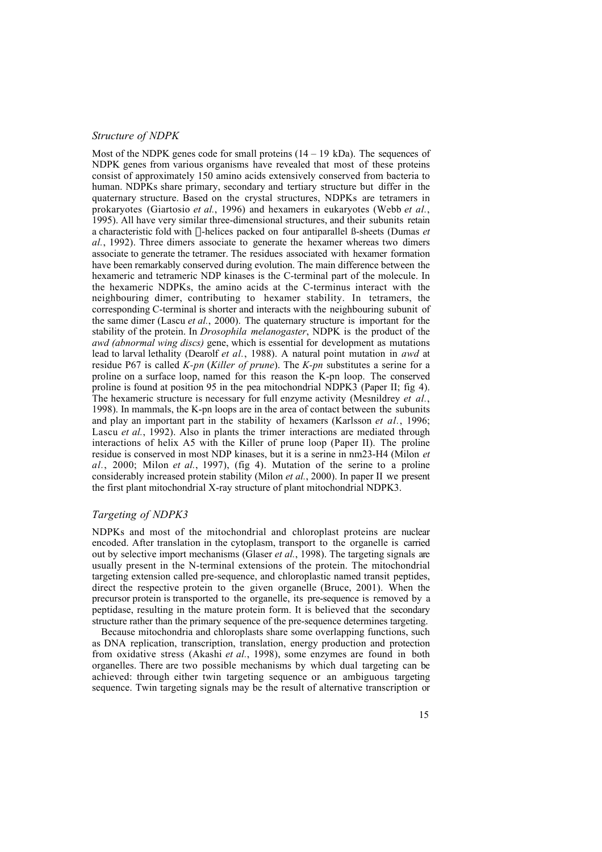#### *Structure of NDPK*

Most of the NDPK genes code for small proteins  $(14 – 19 \text{ kDa})$ . The sequences of NDPK genes from various organisms have revealed that most of these proteins consist of approximately 150 amino acids extensively conserved from bacteria to human. NDPKs share primary, secondary and tertiary structure but differ in the quaternary structure. Based on the crystal structures, NDPKs are tetramers in prokaryotes (Giartosio *et al.*, 1996) and hexamers in eukaryotes (Webb *et al.*, 1995). All have very similar three-dimensional structures, and their subunits retain a characteristic fold with a-helices packed on four antiparallel ß-sheets (Dumas *et al.*, 1992). Three dimers associate to generate the hexamer whereas two dimers associate to generate the tetramer. The residues associated with hexamer formation have been remarkably conserved during evolution. The main difference between the hexameric and tetrameric NDP kinases is the C-terminal part of the molecule. In the hexameric NDPKs, the amino acids at the C-terminus interact with the neighbouring dimer, contributing to hexamer stability. In tetramers, the corresponding C-terminal is shorter and interacts with the neighbouring subunit of the same dimer (Lascu *et al.*, 2000). The quaternary structure is important for the stability of the protein. In *Drosophila melanogaster*, NDPK is the product of the *awd (abnormal wing discs)* gene, which is essential for development as mutations lead to larval lethality (Dearolf *et al.*, 1988). A natural point mutation in *awd* at residue P67 is called *K-pn* (*Killer of prune*). The *K-pn* substitutes a serine for a proline on a surface loop, named for this reason the K-pn loop. The conserved proline is found at position 95 in the pea mitochondrial NDPK3 (Paper II; fig 4). The hexameric structure is necessary for full enzyme activity (Mesnildrey *et al.*, 1998). In mammals, the K-pn loops are in the area of contact between the subunits and play an important part in the stability of hexamers (Karlsson *et al.*, 1996; Lascu *et al.*, 1992). Also in plants the trimer interactions are mediated through interactions of helix A5 with the Killer of prune loop (Paper II). The proline residue is conserved in most NDP kinases, but it is a serine in nm23-H4 (Milon *et al.*, 2000; Milon *et al.*, 1997), (fig 4). Mutation of the serine to a proline considerably increased protein stability (Milon *et al.*, 2000). In paper II we present the first plant mitochondrial X-ray structure of plant mitochondrial NDPK3.

#### *Targeting of NDPK3*

NDPKs and most of the mitochondrial and chloroplast proteins are nuclear encoded. After translation in the cytoplasm, transport to the organelle is carried out by selective import mechanisms (Glaser *et al.*, 1998). The targeting signals are usually present in the N-terminal extensions of the protein. The mitochondrial targeting extension called pre-sequence, and chloroplastic named transit peptides, direct the respective protein to the given organelle (Bruce, 2001). When the precursor protein is transported to the organelle, its pre-sequence is removed by a peptidase, resulting in the mature protein form. It is believed that the secondary structure rather than the primary sequence of the pre-sequence determines targeting.

Because mitochondria and chloroplasts share some overlapping functions, such as DNA replication, transcription, translation, energy production and protection from oxidative stress (Akashi *et al.*, 1998), some enzymes are found in both organelles. There are two possible mechanisms by which dual targeting can be achieved: through either twin targeting sequence or an ambiguous targeting sequence. Twin targeting signals may be the result of alternative transcription or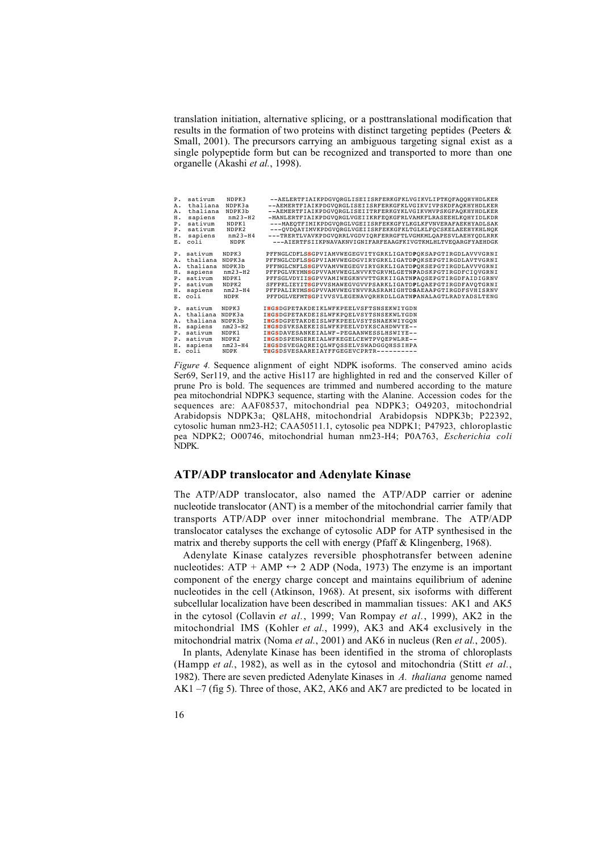translation initiation, alternative splicing, or a posttranslational modification that results in the formation of two proteins with distinct targeting peptides (Peeters & Small, 2001). The precursors carrying an ambiguous targeting signal exist as a single polypeptide form but can be recognized and transported to more than one organelle (Akashi *et al.*, 1998).

| P <sub>1</sub> | sativum                                                                                               | NDPK3                                                                                | --AELERTFIAIKPDGVQRGLISEIISRFERKGFKLVGIKVLIPTKQFAQQHYHDLKER                                                                                                                                                                                                                                                                                                                                                                                                                                                  |
|----------------|-------------------------------------------------------------------------------------------------------|--------------------------------------------------------------------------------------|--------------------------------------------------------------------------------------------------------------------------------------------------------------------------------------------------------------------------------------------------------------------------------------------------------------------------------------------------------------------------------------------------------------------------------------------------------------------------------------------------------------|
| Α.             | thaliana                                                                                              | NDPK3a                                                                               | --AEMERTFIAIKPDGVORGLISEIISRFERKGFKLVGIKVIVPSKDFAOKHYHDLKER                                                                                                                                                                                                                                                                                                                                                                                                                                                  |
| Α.             | thaliana                                                                                              | NDPK3b                                                                               | --AEMERTFIAIKPDGVORGLISEIITRFERKGYKLVGIKVMVPSKGFAOKHYHDLKER                                                                                                                                                                                                                                                                                                                                                                                                                                                  |
| н.             | sapiens                                                                                               | $nm23-H2$                                                                            | -MANLERTFIAIKPDGVORGLVGEIIKRFEOKGFRLVAMKFLRASEEHLKOHYIDLKDR                                                                                                                                                                                                                                                                                                                                                                                                                                                  |
| P <sub>1</sub> | sativum                                                                                               | NDPK1                                                                                | ---MAEOTFIMIKPDGVORGLVGEIISRFEKKGFYLKGLKFVNVERAFAEKHYADLSAK                                                                                                                                                                                                                                                                                                                                                                                                                                                  |
| $P_{\star}$    | sativum                                                                                               | NDPK2                                                                                | ---OVDOAYIMVKPDGVORGLVGEIISRFEKKGFKLTGLKLFOCSKELAEEHYKHLNOK                                                                                                                                                                                                                                                                                                                                                                                                                                                  |
| н.             | sapiens                                                                                               | $nm23-H4$                                                                            | ---TRERTLVAVKPDGVORRLVGDVIORFERRGFTLVGMKMLOAPESVLAEHYODLRRK                                                                                                                                                                                                                                                                                                                                                                                                                                                  |
| $E_{\rm A}$    | coli                                                                                                  | <b>NDPK</b>                                                                          | ---AIERTFSIIKPNAVAKNVIGNIFARFEAAGFKIVGTKMLHLTVEOARGFYAEHDGK                                                                                                                                                                                                                                                                                                                                                                                                                                                  |
| н.<br>н.       | P. sativum<br>A. thaliana<br>A. thaliana<br>sapiens<br>P. sativum<br>P. sativum<br>sapiens<br>E. coli | NDPK3<br>NDPK3a<br>NDPK3b<br>$nm23-H2$<br>NDPK1<br>NDPK2<br>$nm23-H4$<br><b>NDPK</b> | PFFNGLCDFLSSGPVIAMVWEGEGVITYGRKLIGATDPOKSAPGTIRGDLAVVVGRNI<br>PFFNGLCDFLSSGPVIAMVWEGDGVIRYGRKLIGATDPOKSEPGTIRGDLAVTVGRNI<br>PFFNGLCNFLSSGPVVAMVWEGEGVIRYGRKLIGATDPOKSEPGTIRGDLAVVVGRNI<br>PFFPGLVKYMNSGPVVAMVWEGLNVVKTGRVMLGETNPADSKPGTIRGDFCIOVGRNI<br>PFFSGLVDYIISGPVVAMIWEGKNVVTTGRKIIGATNPAOSEPGTIRGDFAIDIGRNV<br>SFFPKLIEYITSGPVVSMAWEGVGVVPSARKLIGATDPLQAEPGTIRGDFAVQTGRNI<br>PFFPALIRYMSSGPVVAMVWEGYNVVRASRAMIGHTDSAEAAPGTIRGDFSVHISRNV<br>PFFDGLVEFMTSGPIVVSVLEGENAVORHRDLLGATNPANALAGTLRADYADSLTENG |
| н.             | P. sativum                                                                                            | NDPK3                                                                                | IHGSDGPETAKDEIKLWFKPEELVSFTSNSEKWIYGDN                                                                                                                                                                                                                                                                                                                                                                                                                                                                       |
|                | A. thaliana                                                                                           | NDPK3a                                                                               | IHGSDGPETAKDEISLWFKPOELVSYTSNSEKWLYGDN                                                                                                                                                                                                                                                                                                                                                                                                                                                                       |
|                | A. thaliana                                                                                           | NDPK3b                                                                               | IHGSDGPETAKDEISLWFKPEELVSYTSNAEKWIYGON                                                                                                                                                                                                                                                                                                                                                                                                                                                                       |
|                | sapiens                                                                                               | $nm23-H2$                                                                            | IHGSDSVKSAEKEISLWFKPEELVDYKSCAHDWVYE--                                                                                                                                                                                                                                                                                                                                                                                                                                                                       |
|                | P. sativum                                                                                            | NDPK1                                                                                | IHGSDAVESANKEIALWF-PEGAANWESSLHSWIYE--                                                                                                                                                                                                                                                                                                                                                                                                                                                                       |
|                | P. sativum                                                                                            | NDPK2                                                                                | IHGSDSPENGEREIALWFKEGELCEWTPVOEPWLRE--                                                                                                                                                                                                                                                                                                                                                                                                                                                                       |
|                | H. sapiens                                                                                            | $nm23-H4$                                                                            | IHGSDSVEGAOREIOLWFOSSELVSWADGGOHSSIHPA                                                                                                                                                                                                                                                                                                                                                                                                                                                                       |
|                | E. coli                                                                                               | <b>NDPK</b>                                                                          | THGSDSVESAAREIAYFFGEGEVCPRTR----------                                                                                                                                                                                                                                                                                                                                                                                                                                                                       |

*Figure 4.* Sequence alignment of eight NDPK isoforms. The conserved amino acids Ser69, Ser119, and the active His117 are highlighted in red and the conserved Killer of prune Pro is bold. The sequences are trimmed and numbered according to the mature pea mitochondrial NDPK3 sequence, starting with the Alanine. Accession codes for the sequences are: AAF08537, mitochondrial pea NDPK3; O49203, mitochondrial Arabidopsis NDPK3a; Q8LAH8, mitochondrial Arabidopsis NDPK3b; P22392, cytosolic human nm23-H2; CAA50511.1, cytosolic pea NDPK1; P47923, chloroplastic pea NDPK2; O00746, mitochondrial human nm23-H4; P0A763, *Escherichia coli* NDPK.

#### **ATP/ADP translocator and Adenylate Kinase**

The ATP/ADP translocator, also named the ATP/ADP carrier or adenine nucleotide translocator (ANT) is a member of the mitochondrial carrier family that transports ATP/ADP over inner mitochondrial membrane. The ATP/ADP translocator catalyses the exchange of cytosolic ADP for ATP synthesised in the matrix and thereby supports the cell with energy (Pfaff & Klingenberg, 1968).

Adenylate Kinase catalyzes reversible phosphotransfer between adenine nucleotides:  $ATP + AMP \leftrightarrow 2 ADP$  (Noda, 1973) The enzyme is an important component of the energy charge concept and maintains equilibrium of adenine nucleotides in the cell (Atkinson, 1968). At present, six isoforms with different subcellular localization have been described in mammalian tissues: AK1 and AK5 in the cytosol (Collavin *et al.*, 1999; Van Rompay *et al.*, 1999), AK2 in the mitochondrial IMS (Kohler *et al.*, 1999), AK3 and AK4 exclusively in the mitochondrial matrix (Noma *et al.*, 2001) and AK6 in nucleus (Ren *et al.*, 2005).

In plants, Adenylate Kinase has been identified in the stroma of chloroplasts (Hampp *et al.*, 1982), as well as in the cytosol and mitochondria (Stitt *et al.*, 1982). There are seven predicted Adenylate Kinases in *A. thaliana* genome named AK1 –7 (fig 5). Three of those, AK2, AK6 and AK7 are predicted to be located in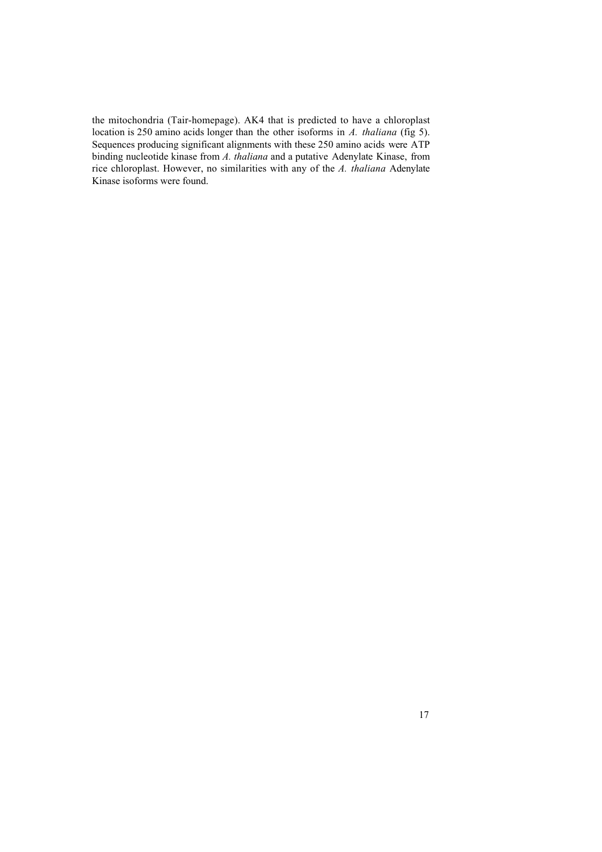the mitochondria (Tair-homepage). AK4 that is predicted to have a chloroplast location is 250 amino acids longer than the other isoforms in *A. thaliana* (fig 5). Sequences producing significant alignments with these 250 amino acids were ATP binding nucleotide kinase from *A. thaliana* and a putative Adenylate Kinase, from rice chloroplast. However, no similarities with any of the *A. thaliana* Adenylate Kinase isoforms were found.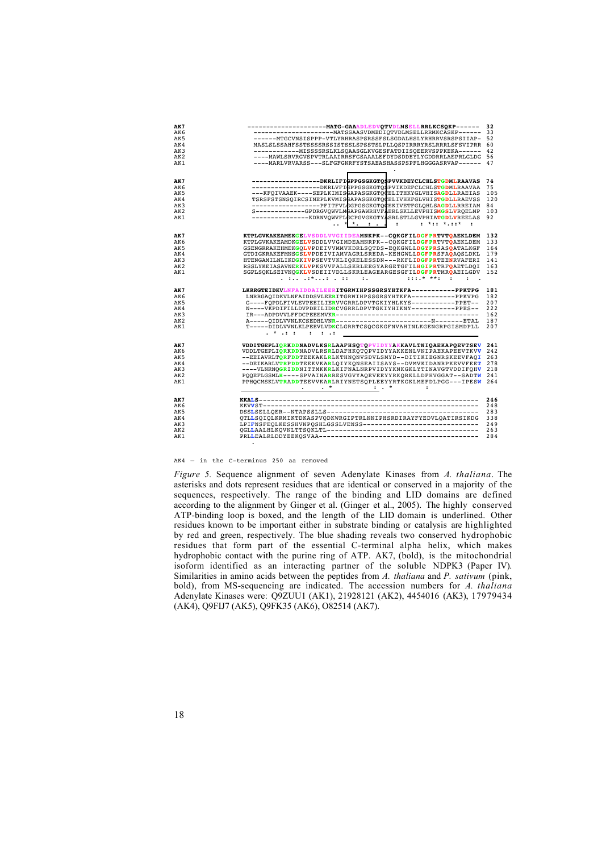| AK7             | ------------------------ MATG-GAAADLEDVQTVDLMSELLRRLKCSQKP------ | 32  |
|-----------------|------------------------------------------------------------------|-----|
| AK6             |                                                                  |     |
| AK5             | -------MTGCVNSISPPP-VTLYRHRASPSRSSFSLSGDALHSLYRHRRVSRSPSIIAP- 52 |     |
| AK4             | MASLSLSSAHFSSTSSSSRSSISTSSLSPSSTSLPLLOSPIRRRYRSLRRRLSFSVIPRR 60  |     |
| AK3             |                                                                  |     |
| AK <sub>2</sub> | ----MAWLSRVRGVSPVTRLAAIRRSFGSAAALEFDYDSDDEYLYGDDRRLAEPRLGLDG 56  |     |
| AK1             | ----MARLVRVARSS---SLFGFGNRFYSTSAEASHASSPSPFLHGGGASRVAP------ 47  |     |
|                 |                                                                  |     |
|                 |                                                                  |     |
| AK7             | ------------------DKRLIFIGPPGSGKGTO\$PVVKDEYCLCHLSTGDMLRAAVAS    | 74  |
| AK6             | ------------------DKRLVFIGPPGSGKGTOSPVIKDEFCLCHLSTGDMLRAAVAA     | 75  |
|                 |                                                                  |     |
| AK5             | ---KFQIVAAEK----SEPLKIMISCAPASGKGTQCELITHKYGLVHISAGDLLRAEIAS     | 105 |
| AK4             | TSRSFSTSNSQIRCSINEPLKVMISGAPASGKGTQCELIVHKFGLVHISTGDLLRAEVSS     | 120 |
| AK3             | -----------------PFITFVLGGPGSGKGTQCEKIVETFGLQHLSAGDLLRREIAM      | 84  |
| AK <sub>2</sub> | S------------GPDRGVQWVLMGAPGAWRHVFAERLSKLLEVPHISMGSLVRQELNP      | 103 |
| AK1             | --------------KDRNVQWVFLCCPGVGKGTYASRLSTLLGVPHIATGDLVREELAS      | 92  |
|                 | * * *:: *.::*                                                    |     |
|                 | KTPLGVKAKEAMEKGELVSDDLVVGIIDEAMNKPK--CQKGFILDGFPRTVTQAEKLDEM     | 132 |
| AK7             |                                                                  |     |
| AK6             | KTPLGVKAKEAMDKGELVSDDLVVGIMDEAMNRPK--COKGFILDGFPRTVTOAEKLDEM     | 133 |
| AK <sub>5</sub> | GSENGRRAKEHMEKGQLVPDEIVVMMVKDRLSQTDS-EQKGWLLDGYPRSASOATALKGF     | 164 |
| AK4             | GTDIGKRAKEFMNSGSLVPDEIVIAMVAGRLSREDA-KEHGWLLDGFPRSFAOAOSLDKL     | 179 |
| AK3             | HTENGAMILNLIKDGKIVPSEVTVKLIOKELESSDN---RKFLIDGFPRTEENRVAFERI     | 141 |
| AK2             | RSSLYKEIASAVNERKLVPKSVVFALLSKRLEEGYARGETGFILHGIPRTRFOAETLDQI     | 163 |
| AK1             | SGPLSQKLSEIVNQGKLVSDEIIVDLLSKRLEAGEARGESGFILDGFPRTMRQAEILGDV     | 152 |
|                 | $: : :.*$ **:<br>$\mathbf{r}$<br>$\mathbf{r}$ .                  |     |
|                 |                                                                  |     |
| AK7             | LKRRGTEIDKVLNFAIDDAILEERITGRWIHPSSGRSYHTKFA-----------PPKTPG     | 181 |
| AK6             | LNRRGAQIDKVLNFAIDDSVLEERITGRWIHPSSGRSYHTKFA----------PPKVPG      | 182 |
| AK5             | G----FQPDLFIVLEVPEEILIERVVGRRLDPVTGKIYHLKYS-----------PPET--     | 207 |
| AK4             | N----VKPDIFILLDVPDEILIDRCVGRRLDPVTGKIYHIKNY-----------PPES--     | 222 |
| AK3             |                                                                  | 162 |
| AK <sub>2</sub> | A-----QIDLVVNLKCSEDHLVNR---------------------------------ETAL    | 187 |
| AK1             | T-----DIDLVVNLKLPEEVLVDKCLGRRTCSQCGKGFNVAHINLKGENGRPGISMDPLL     | 207 |
|                 | . * .: : . ::                                                    |     |
|                 |                                                                  |     |
| AK7             | VDDITGEPLIORKDDNADVLKSRLAAFHSOTOPVIDYYAKKAVLTNIOAEKAPOEVTSEV     | 241 |
| AK6             | VDDLTGEPLIORKDDNADVLRSRLDAFHKOTOPVIDYYAKKENLVNIPAEKAPEEVTKVV     | 242 |
| AK5             | --EEIAVRLTORFDDTEEKAKLRLKTHNONVSDVLSMYD--DITIKIEGNRSKEEVFAQI     | 263 |
| AK4             | --DEIKARLVTRPDDTEEKVKARLOIYKONSEAIISAYS--DVMVKIDANRPKEVVFEET     | 278 |
| AK3             | ----VLNRNOGRIDDNITTMKKRLKIFNALNRPVIDYYKNKGKLYTINAVGTVDDIFOHV     | 218 |
| AK <sub>2</sub> | POOEFLGSMLH----SPVAINARRESVGVYAQEVEEYYRKQRKLLDFHVGGAT--SADTW     | 241 |
| AK1             | PPHOCMSKLVTRADDTEEVVKARLRIYNETSQPLEEYYRTKGKLMEFDLPGG---IPESW     | 264 |
|                 | $\ddot{\phantom{a}}$                                             |     |
|                 |                                                                  |     |
| AK7             |                                                                  | 246 |
| AK6             |                                                                  | 248 |
| AK5             |                                                                  | 283 |
| AK4             | OTLLSOIOLKRMIKTDKASPVODKWRGIPTRLNNIPHSRDIRAYFYEDVLOATIRSIKDG     | 338 |
| AK3             | LPIFNSFEQLKESSHVNPQSHLGSSLVENSS------------------------------    | 249 |
| AK <sub>2</sub> |                                                                  | 263 |
| AK1             |                                                                  | 284 |
|                 |                                                                  |     |

AK4 – in the C-terminus 250 aa removed

*Figure 5.* Sequence alignment of seven Adenylate Kinases from *A. thaliana*. The asterisks and dots represent residues that are identical or conserved in a majority of the sequences, respectively. The range of the binding and LID domains are defined according to the alignment by Ginger et al. (Ginger et al., 2005). The highly conserved ATP-binding loop is boxed, and the length of the LID domain is underlined. Other residues known to be important either in substrate binding or catalysis are highlighted by red and green, respectively. The blue shading reveals two conserved hydrophobic residues that form part of the essential C-terminal alpha helix, which makes hydrophobic contact with the purine ring of ATP. AK7, (bold), is the mitochondrial isoform identified as an interacting partner of the soluble NDPK3 (Paper IV). Similarities in amino acids between the peptides from *A. thaliana* and *P. sativum* (pink, bold), from MS-sequencing are indicated. The accession numbers for *A. thaliana* Adenylate Kinases were: Q9ZUU1 (AK1), 21928121 (AK2), 4454016 (AK3), 17979434 (AK4), Q9FIJ7 (AK5), Q9FK35 (AK6), O82514 (AK7).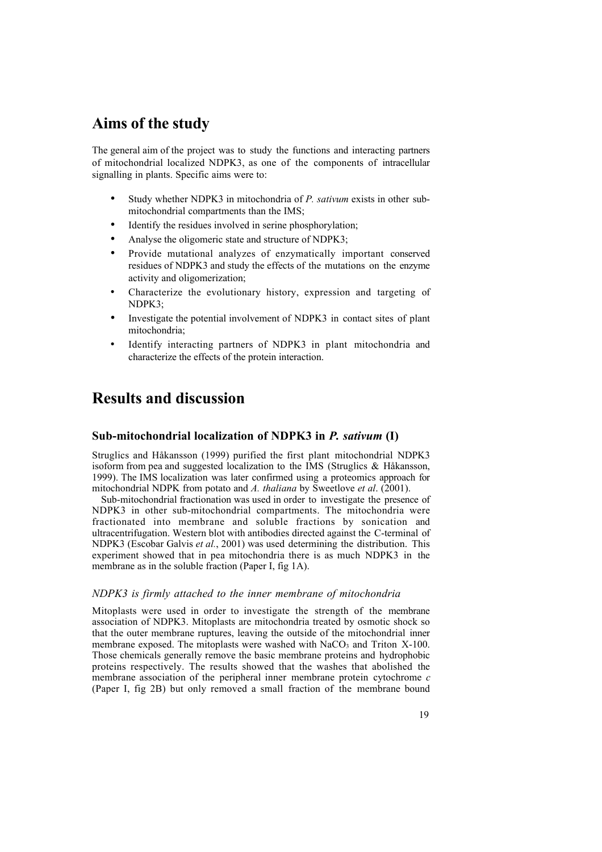## **Aims of the study**

The general aim of the project was to study the functions and interacting partners of mitochondrial localized NDPK3, as one of the components of intracellular signalling in plants. Specific aims were to:

- Study whether NDPK3 in mitochondria of *P. sativum* exists in other submitochondrial compartments than the IMS;
- Identify the residues involved in serine phosphorylation;
- Analyse the oligomeric state and structure of NDPK3;
- Provide mutational analyzes of enzymatically important conserved residues of NDPK3 and study the effects of the mutations on the enzyme activity and oligomerization;
- Characterize the evolutionary history, expression and targeting of NDPK3;
- Investigate the potential involvement of NDPK3 in contact sites of plant mitochondria;
- Identify interacting partners of NDPK3 in plant mitochondria and characterize the effects of the protein interaction.

## **Results and discussion**

## **Sub-mitochondrial localization of NDPK3 in** *P. sativum* **(I)**

Struglics and Håkansson (1999) purified the first plant mitochondrial NDPK3 isoform from pea and suggested localization to the IMS (Struglics & Håkansson, 1999). The IMS localization was later confirmed using a proteomics approach for mitochondrial NDPK from potato and *A. thaliana* by Sweetlove *et al*. (2001).

Sub-mitochondrial fractionation was used in order to investigate the presence of NDPK3 in other sub-mitochondrial compartments. The mitochondria were fractionated into membrane and soluble fractions by sonication and ultracentrifugation. Western blot with antibodies directed against the C-terminal of NDPK3 (Escobar Galvis *et al.*, 2001) was used determining the distribution. This experiment showed that in pea mitochondria there is as much NDPK3 in the membrane as in the soluble fraction (Paper I, fig 1A).

#### *NDPK3 is firmly attached to the inner membrane of mitochondria*

Mitoplasts were used in order to investigate the strength of the membrane association of NDPK3. Mitoplasts are mitochondria treated by osmotic shock so that the outer membrane ruptures, leaving the outside of the mitochondrial inner membrane exposed. The mitoplasts were washed with  $NaCO<sub>3</sub>$  and Triton X-100. Those chemicals generally remove the basic membrane proteins and hydrophobic proteins respectively. The results showed that the washes that abolished the membrane association of the peripheral inner membrane protein cytochrome *c* (Paper I, fig 2B) but only removed a small fraction of the membrane bound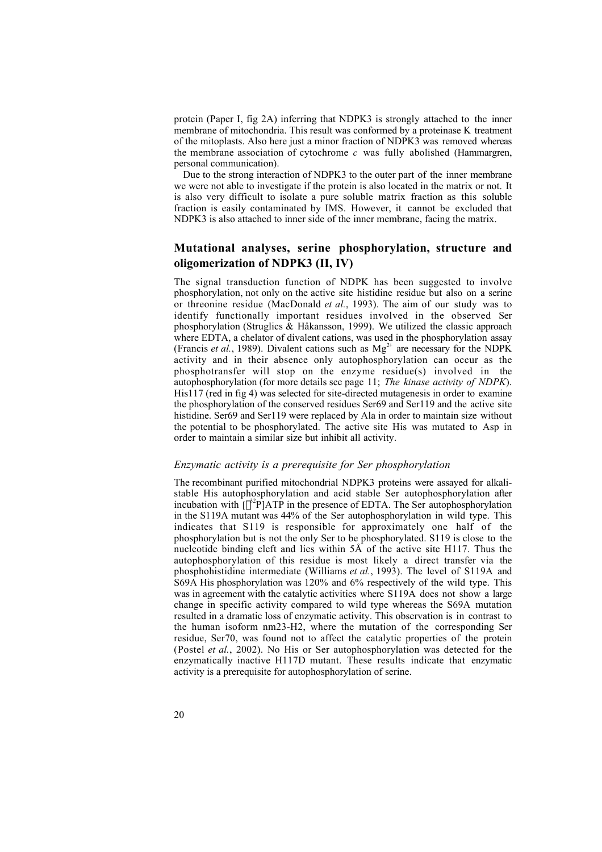protein (Paper I, fig 2A) inferring that NDPK3 is strongly attached to the inner membrane of mitochondria. This result was conformed by a proteinase K treatment of the mitoplasts. Also here just a minor fraction of NDPK3 was removed whereas the membrane association of cytochrome *c* was fully abolished (Hammargren, personal communication).

Due to the strong interaction of NDPK3 to the outer part of the inner membrane we were not able to investigate if the protein is also located in the matrix or not. It is also very difficult to isolate a pure soluble matrix fraction as this soluble fraction is easily contaminated by IMS. However, it cannot be excluded that NDPK3 is also attached to inner side of the inner membrane, facing the matrix.

## **Mutational analyses, serine phosphorylation, structure and oligomerization of NDPK3 (II, IV)**

The signal transduction function of NDPK has been suggested to involve phosphorylation, not only on the active site histidine residue but also on a serine or threonine residue (MacDonald *et al.*, 1993). The aim of our study was to identify functionally important residues involved in the observed Ser phosphorylation (Struglics & Håkansson, 1999). We utilized the classic approach where EDTA, a chelator of divalent cations, was used in the phosphorylation assay (Francis *et al.*, 1989). Divalent cations such as  $Mg^{2+}$  are necessary for the NDPK activity and in their absence only autophosphorylation can occur as the phosphotransfer will stop on the enzyme residue(s) involved in the autophosphorylation (for more details see page 11; *The kinase activity of NDPK*). His117 (red in fig 4) was selected for site-directed mutagenesis in order to examine the phosphorylation of the conserved residues Ser69 and Ser119 and the active site histidine. Ser69 and Ser119 were replaced by Ala in order to maintain size without the potential to be phosphorylated. The active site His was mutated to Asp in order to maintain a similar size but inhibit all activity.

#### *Enzymatic activity is a prerequisite for Ser phosphorylation*

The recombinant purified mitochondrial NDPK3 proteins were assayed for alkalistable His autophosphorylation and acid stable Ser autophosphorylation after incubation with  $\lbrack \gamma^{32}P \rbrack$ ATP in the presence of EDTA. The Ser autophosphorylation in the S119A mutant was 44% of the Ser autophosphorylation in wild type. This indicates that S119 is responsible for approximately one half of the phosphorylation but is not the only Ser to be phosphorylated. S119 is close to the nucleotide binding cleft and lies within 5Å of the active site H117. Thus the autophosphorylation of this residue is most likely a direct transfer via the phosphohistidine intermediate (Williams *et al.*, 1993). The level of S119A and S69A His phosphorylation was 120% and 6% respectively of the wild type. This was in agreement with the catalytic activities where S119A does not show a large change in specific activity compared to wild type whereas the S69A mutation resulted in a dramatic loss of enzymatic activity. This observation is in contrast to the human isoform nm23-H2, where the mutation of the corresponding Ser residue, Ser70, was found not to affect the catalytic properties of the protein (Postel *et al.*, 2002). No His or Ser autophosphorylation was detected for the enzymatically inactive H117D mutant. These results indicate that enzymatic activity is a prerequisite for autophosphorylation of serine.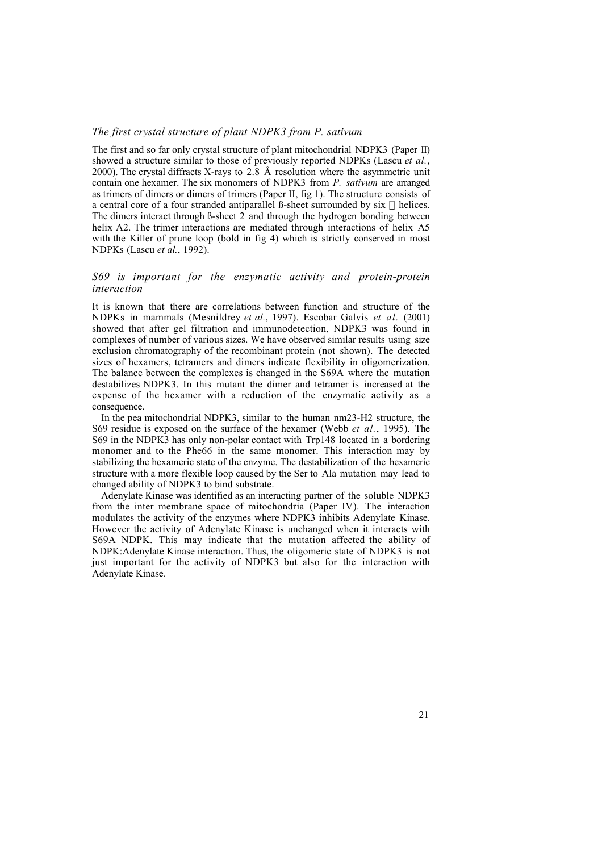## *The first crystal structure of plant NDPK3 from P. sativum*

The first and so far only crystal structure of plant mitochondrial NDPK3 (Paper II) showed a structure similar to those of previously reported NDPKs (Lascu *et al.*, 2000). The crystal diffracts X-rays to 2.8 Å resolution where the asymmetric unit contain one hexamer. The six monomers of NDPK3 from *P. sativum* are arranged as trimers of dimers or dimers of trimers (Paper II, fig 1). The structure consists of a central core of a four stranded antiparallel ß-sheet surrounded by six  $\alpha$  helices. The dimers interact through  $\beta$ -sheet  $\hat{2}$  and through the hydrogen bonding between helix A2. The trimer interactions are mediated through interactions of helix A5 with the Killer of prune loop (bold in fig 4) which is strictly conserved in most NDPKs (Lascu *et al.*, 1992).

### *S69 is important for the enzymatic activity and protein-protein interaction*

It is known that there are correlations between function and structure of the NDPKs in mammals (Mesnildrey *et al.*, 1997). Escobar Galvis *et al.* (2001) showed that after gel filtration and immunodetection, NDPK3 was found in complexes of number of various sizes. We have observed similar results using size exclusion chromatography of the recombinant protein (not shown). The detected sizes of hexamers, tetramers and dimers indicate flexibility in oligomerization. The balance between the complexes is changed in the S69A where the mutation destabilizes NDPK3. In this mutant the dimer and tetramer is increased at the expense of the hexamer with a reduction of the enzymatic activity as a consequence.

In the pea mitochondrial NDPK3, similar to the human nm23-H2 structure, the S69 residue is exposed on the surface of the hexamer (Webb *et al.*, 1995). The S69 in the NDPK3 has only non-polar contact with Trp148 located in a bordering monomer and to the Phe66 in the same monomer. This interaction may by stabilizing the hexameric state of the enzyme. The destabilization of the hexameric structure with a more flexible loop caused by the Ser to Ala mutation may lead to changed ability of NDPK3 to bind substrate.

Adenylate Kinase was identified as an interacting partner of the soluble NDPK3 from the inter membrane space of mitochondria (Paper IV). The interaction modulates the activity of the enzymes where NDPK3 inhibits Adenylate Kinase. However the activity of Adenylate Kinase is unchanged when it interacts with S69A NDPK. This may indicate that the mutation affected the ability of NDPK:Adenylate Kinase interaction. Thus, the oligomeric state of NDPK3 is not just important for the activity of NDPK3 but also for the interaction with Adenylate Kinase.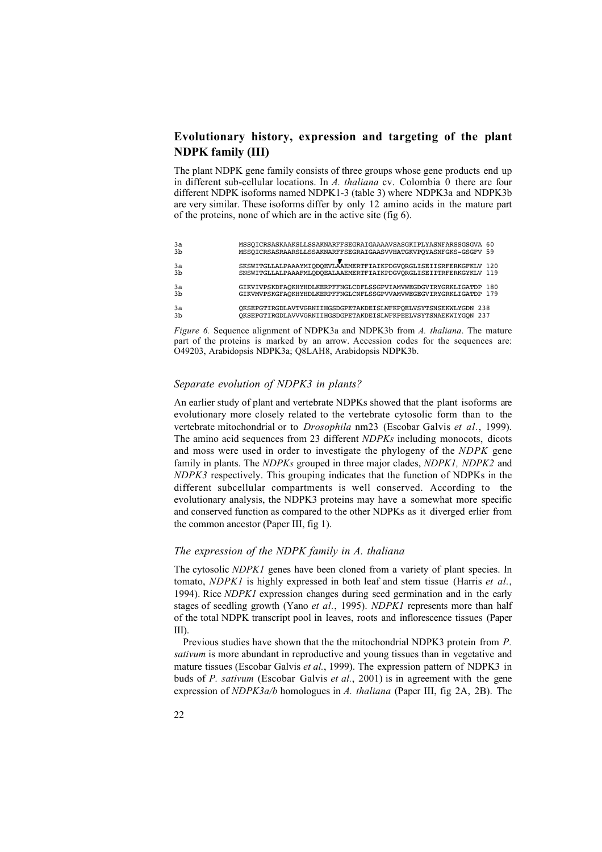## **Evolutionary history, expression and targeting of the plant NDPK family (III)**

The plant NDPK gene family consists of three groups whose gene products end up in different sub-cellular locations. In *A. thaliana* cv. Colombia 0 there are four different NDPK isoforms named NDPK1-3 (table 3) where NDPK3a and NDPK3b are very similar. These isoforms differ by only 12 amino acids in the mature part of the proteins, none of which are in the active site (fig 6).

| 3a<br>3 <sub>b</sub> | MSSQICRSASKAAKSLLSSAKNARFFSEGRAIGAAAAVSASGKIPLYASNFARSSGSGVA 60<br>MSSOICRSASRAARSLLSSAKNARFFSEGRAIGAASVVHATGKVPOYASNFGKS-GSGFV 59   |  |
|----------------------|--------------------------------------------------------------------------------------------------------------------------------------|--|
| 3a<br>3 <sub>b</sub> | SKSWITGLLALPAAAYMIQDQEVLAAEMERTFIAIKPDGVQRGLISEIISRFERKGFKLV 120<br>SNSWITGLLALPAAAFMLODOEALAAEMERTFIAIKPDGVORGLISEIITRFERKGYKLV 119 |  |
| 3a<br>3 <sub>b</sub> | GIKVIVPSKDFAOKHYHDLKERPFFNGLCDFLSSGPVIAMVWEGDGVIRYGRKLIGATDP 180<br>GIKVMVPSKGFAOKHYHDLKERPFFNGLCNFLSSGPVVAMVWEGEGVIRYGRKLIGATDP 179 |  |
| 3a<br>3 <sub>b</sub> | OKSEPGTIRGDLAVTVGRNIIHGSDGPETAKDEISLWFKPOELVSYTSNSEKWLYGDN 238<br>OKSEPGTIRGDLAVVVGRNIIHGSDGPETAKDEISLWFKPEELVSYTSNAEKWIYGON 237     |  |

*Figure 6.* Sequence alignment of NDPK3a and NDPK3b from *A. thaliana*. The mature part of the proteins is marked by an arrow. Accession codes for the sequences are: O49203, Arabidopsis NDPK3a; Q8LAH8, Arabidopsis NDPK3b.

#### *Separate evolution of NDPK3 in plants?*

An earlier study of plant and vertebrate NDPKs showed that the plant isoforms are evolutionary more closely related to the vertebrate cytosolic form than to the vertebrate mitochondrial or to *Drosophila* nm23 (Escobar Galvis *et al.*, 1999). The amino acid sequences from 23 different *NDPKs* including monocots, dicots and moss were used in order to investigate the phylogeny of the *NDPK* gene family in plants. The *NDPKs* grouped in three major clades, *NDPK1, NDPK2* and *NDPK3* respectively. This grouping indicates that the function of NDPKs in the different subcellular compartments is well conserved. According to the evolutionary analysis, the NDPK3 proteins may have a somewhat more specific and conserved function as compared to the other NDPKs as it diverged erlier from the common ancestor (Paper III, fig 1).

#### *The expression of the NDPK family in A. thaliana*

The cytosolic *NDPK1* genes have been cloned from a variety of plant species. In tomato, *NDPK1* is highly expressed in both leaf and stem tissue (Harris *et al.*, 1994). Rice *NDPK1* expression changes during seed germination and in the early stages of seedling growth (Yano *et al.*, 1995). *NDPK1* represents more than half of the total NDPK transcript pool in leaves, roots and inflorescence tissues (Paper III).

Previous studies have shown that the the mitochondrial NDPK3 protein from *P. sativum* is more abundant in reproductive and young tissues than in vegetative and mature tissues (Escobar Galvis *et al.*, 1999). The expression pattern of NDPK3 in buds of *P. sativum* (Escobar Galvis *et al.*, 2001) is in agreement with the gene expression of *NDPK3a/b* homologues in *A. thaliana* (Paper III, fig 2A, 2B). The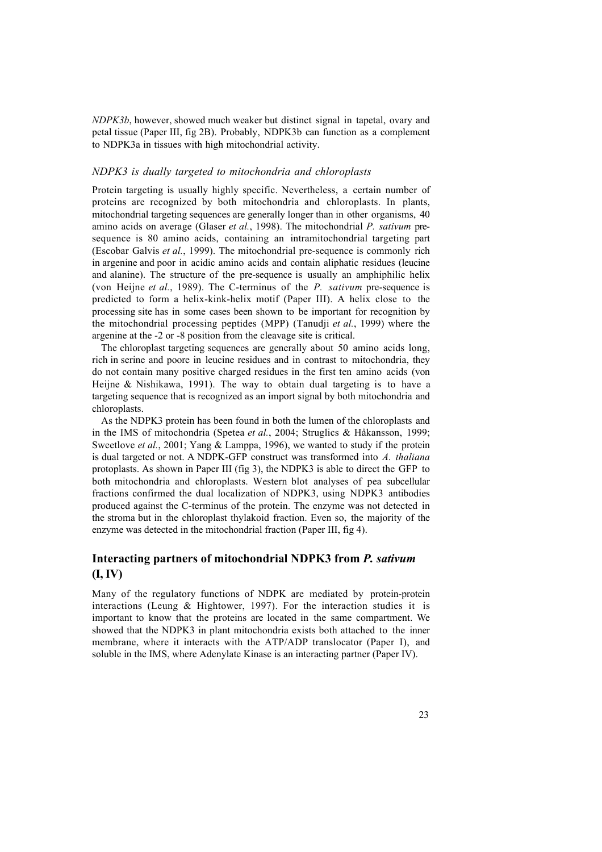*NDPK3b*, however, showed much weaker but distinct signal in tapetal, ovary and petal tissue (Paper III, fig 2B). Probably, NDPK3b can function as a complement to NDPK3a in tissues with high mitochondrial activity.

#### *NDPK3 is dually targeted to mitochondria and chloroplasts*

Protein targeting is usually highly specific. Nevertheless, a certain number of proteins are recognized by both mitochondria and chloroplasts. In plants, mitochondrial targeting sequences are generally longer than in other organisms, 40 amino acids on average (Glaser *et al.*, 1998). The mitochondrial *P. sativum* presequence is 80 amino acids, containing an intramitochondrial targeting part (Escobar Galvis *et al.*, 1999). The mitochondrial pre-sequence is commonly rich in argenine and poor in acidic amino acids and contain aliphatic residues (leucine and alanine). The structure of the pre-sequence is usually an amphiphilic helix (von Heijne *et al.*, 1989). The C-terminus of the *P. sativum* pre-sequence is predicted to form a helix-kink-helix motif (Paper III). A helix close to the processing site has in some cases been shown to be important for recognition by the mitochondrial processing peptides (MPP) (Tanudji *et al.*, 1999) where the argenine at the -2 or -8 position from the cleavage site is critical.

The chloroplast targeting sequences are generally about 50 amino acids long, rich in serine and poore in leucine residues and in contrast to mitochondria, they do not contain many positive charged residues in the first ten amino acids (von Heijne  $\&$  Nishikawa, 1991). The way to obtain dual targeting is to have a targeting sequence that is recognized as an import signal by both mitochondria and chloroplasts.

As the NDPK3 protein has been found in both the lumen of the chloroplasts and in the IMS of mitochondria (Spetea *et al.*, 2004; Struglics & Håkansson, 1999; Sweetlove *et al.*, 2001; Yang & Lamppa, 1996), we wanted to study if the protein is dual targeted or not. A NDPK-GFP construct was transformed into *A. thaliana* protoplasts. As shown in Paper III (fig 3), the NDPK3 is able to direct the GFP to both mitochondria and chloroplasts. Western blot analyses of pea subcellular fractions confirmed the dual localization of NDPK3, using NDPK3 antibodies produced against the C-terminus of the protein. The enzyme was not detected in the stroma but in the chloroplast thylakoid fraction. Even so, the majority of the enzyme was detected in the mitochondrial fraction (Paper III, fig 4).

## **Interacting partners of mitochondrial NDPK3 from** *P. sativum* **(I, IV)**

Many of the regulatory functions of NDPK are mediated by protein-protein interactions (Leung & Hightower, 1997). For the interaction studies it is important to know that the proteins are located in the same compartment. We showed that the NDPK3 in plant mitochondria exists both attached to the inner membrane, where it interacts with the ATP/ADP translocator (Paper I), and soluble in the IMS, where Adenylate Kinase is an interacting partner (Paper IV).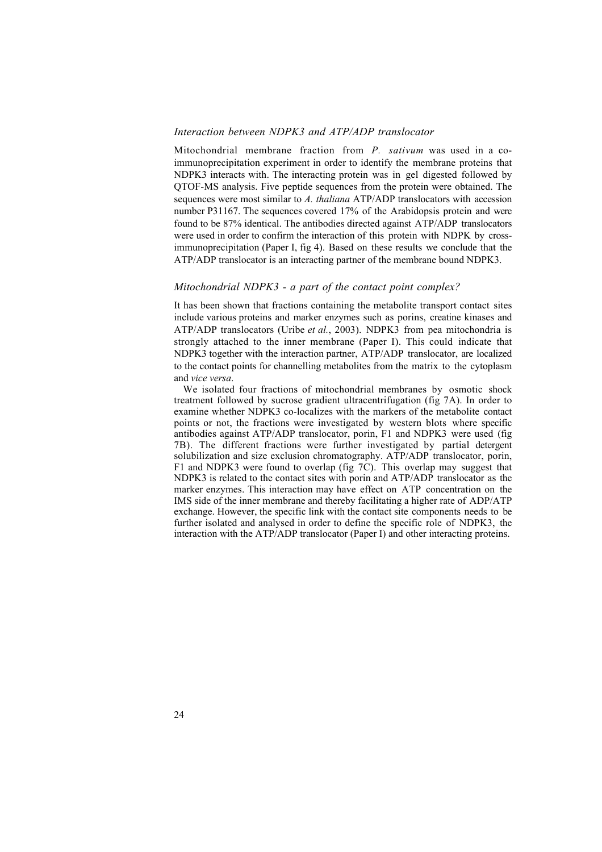#### *Interaction between NDPK3 and ATP/ADP translocator*

Mitochondrial membrane fraction from *P. sativum* was used in a coimmunoprecipitation experiment in order to identify the membrane proteins that NDPK3 interacts with. The interacting protein was in gel digested followed by QTOF-MS analysis. Five peptide sequences from the protein were obtained. The sequences were most similar to *A. thaliana* ATP/ADP translocators with accession number P31167. The sequences covered 17% of the Arabidopsis protein and were found to be 87% identical. The antibodies directed against ATP/ADP translocators were used in order to confirm the interaction of this protein with NDPK by crossimmunoprecipitation (Paper I, fig 4). Based on these results we conclude that the ATP/ADP translocator is an interacting partner of the membrane bound NDPK3.

#### *Mitochondrial NDPK3 - a part of the contact point complex?*

It has been shown that fractions containing the metabolite transport contact sites include various proteins and marker enzymes such as porins, creatine kinases and ATP/ADP translocators (Uribe *et al.*, 2003). NDPK3 from pea mitochondria is strongly attached to the inner membrane (Paper I). This could indicate that NDPK3 together with the interaction partner, ATP/ADP translocator, are localized to the contact points for channelling metabolites from the matrix to the cytoplasm and *vice versa*.

We isolated four fractions of mitochondrial membranes by osmotic shock treatment followed by sucrose gradient ultracentrifugation (fig 7A). In order to examine whether NDPK3 co-localizes with the markers of the metabolite contact points or not, the fractions were investigated by western blots where specific antibodies against ATP/ADP translocator, porin, F1 and NDPK3 were used (fig 7B). The different fractions were further investigated by partial detergent solubilization and size exclusion chromatography. ATP/ADP translocator, porin, F1 and NDPK3 were found to overlap (fig 7C). This overlap may suggest that NDPK3 is related to the contact sites with porin and ATP/ADP translocator as the marker enzymes. This interaction may have effect on ATP concentration on the IMS side of the inner membrane and thereby facilitating a higher rate of ADP/ATP exchange. However, the specific link with the contact site components needs to be further isolated and analysed in order to define the specific role of NDPK3, the interaction with the ATP/ADP translocator (Paper I) and other interacting proteins.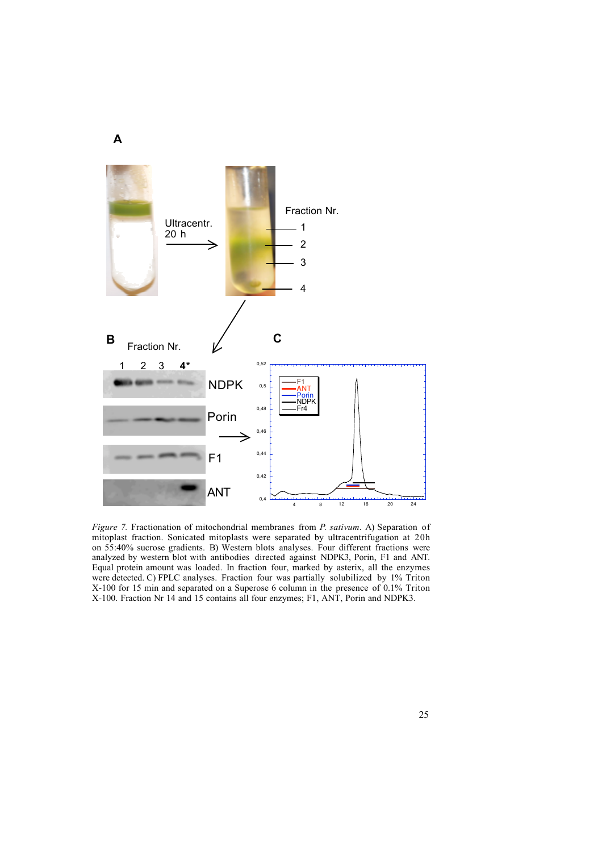

*Figure 7.* Fractionation of mitochondrial membranes from *P. sativum*. A) Separation of mitoplast fraction. Sonicated mitoplasts were separated by ultracentrifugation at 20h on 55:40% sucrose gradients. B) Western blots analyses. Four different fractions were analyzed by western blot with antibodies directed against NDPK3, Porin, F1 and ANT. Equal protein amount was loaded. In fraction four, marked by asterix, all the enzymes were detected. C) FPLC analyses. Fraction four was partially solubilized by 1% Triton X-100 for 15 min and separated on a Superose 6 column in the presence of 0.1% Triton X-100. Fraction Nr 14 and 15 contains all four enzymes; F1, ANT, Porin and NDPK3.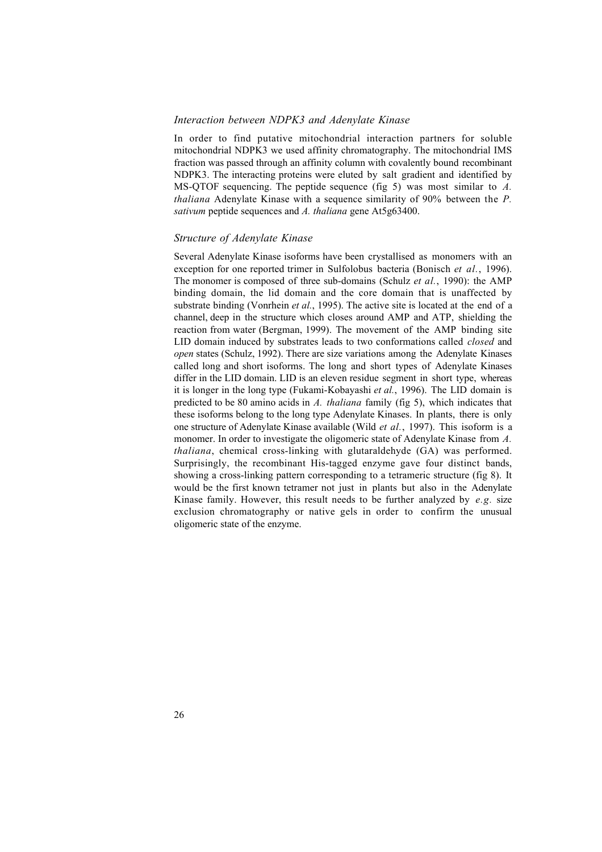#### *Interaction between NDPK3 and Adenylate Kinase*

In order to find putative mitochondrial interaction partners for soluble mitochondrial NDPK3 we used affinity chromatography. The mitochondrial IMS fraction was passed through an affinity column with covalently bound recombinant NDPK3. The interacting proteins were eluted by salt gradient and identified by MS-QTOF sequencing. The peptide sequence (fig 5) was most similar to *A. thaliana* Adenylate Kinase with a sequence similarity of 90% between the *P. sativum* peptide sequences and *A. thaliana* gene At5g63400.

#### *Structure of Adenylate Kinase*

Several Adenylate Kinase isoforms have been crystallised as monomers with an exception for one reported trimer in Sulfolobus bacteria (Bonisch *et al.*, 1996). The monomer is composed of three sub-domains (Schulz *et al.*, 1990): the AMP binding domain, the lid domain and the core domain that is unaffected by substrate binding (Vonrhein *et al.*, 1995). The active site is located at the end of a channel, deep in the structure which closes around AMP and ATP, shielding the reaction from water (Bergman, 1999). The movement of the AMP binding site LID domain induced by substrates leads to two conformations called *closed* and *open* states (Schulz, 1992). There are size variations among the Adenylate Kinases called long and short isoforms. The long and short types of Adenylate Kinases differ in the LID domain. LID is an eleven residue segment in short type, whereas it is longer in the long type (Fukami-Kobayashi *et al.*, 1996). The LID domain is predicted to be 80 amino acids in *A. thaliana* family (fig 5), which indicates that these isoforms belong to the long type Adenylate Kinases. In plants, there is only one structure of Adenylate Kinase available (Wild *et al.*, 1997). This isoform is a monomer. In order to investigate the oligomeric state of Adenylate Kinase from *A. thaliana*, chemical cross-linking with glutaraldehyde (GA) was performed. Surprisingly, the recombinant His-tagged enzyme gave four distinct bands, showing a cross-linking pattern corresponding to a tetrameric structure (fig 8). It would be the first known tetramer not just in plants but also in the Adenylate Kinase family. However, this result needs to be further analyzed by *e.g.* size exclusion chromatography or native gels in order to confirm the unusual oligomeric state of the enzyme.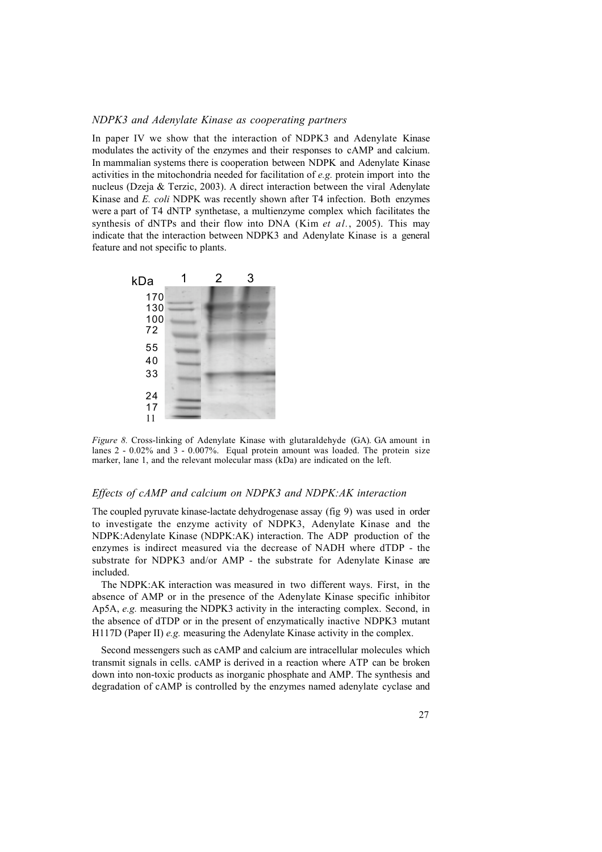#### *NDPK3 and Adenylate Kinase as cooperating partners*

In paper IV we show that the interaction of NDPK3 and Adenylate Kinase modulates the activity of the enzymes and their responses to cAMP and calcium. In mammalian systems there is cooperation between NDPK and Adenylate Kinase activities in the mitochondria needed for facilitation of *e.g.* protein import into the nucleus (Dzeja & Terzic, 2003). A direct interaction between the viral Adenylate Kinase and *E. coli* NDPK was recently shown after T4 infection. Both enzymes were a part of T4 dNTP synthetase, a multienzyme complex which facilitates the synthesis of dNTPs and their flow into DNA (Kim *et al.*, 2005). This may indicate that the interaction between NDPK3 and Adenylate Kinase is a general feature and not specific to plants.



*Figure 8.* Cross-linking of Adenylate Kinase with glutaraldehyde (GA). GA amount in lanes 2 - 0.02% and 3 - 0.007%. Equal protein amount was loaded. The protein size marker, lane 1, and the relevant molecular mass (kDa) are indicated on the left.

#### *Effects of cAMP and calcium on NDPK3 and NDPK:AK interaction*

The coupled pyruvate kinase-lactate dehydrogenase assay (fig 9) was used in order to investigate the enzyme activity of NDPK3, Adenylate Kinase and the NDPK:Adenylate Kinase (NDPK:AK) interaction. The ADP production of the enzymes is indirect measured via the decrease of NADH where dTDP - the substrate for NDPK3 and/or AMP - the substrate for Adenylate Kinase are included.

The NDPK:AK interaction was measured in two different ways. First, in the absence of AMP or in the presence of the Adenylate Kinase specific inhibitor Ap5A, *e.g.* measuring the NDPK3 activity in the interacting complex. Second, in the absence of dTDP or in the present of enzymatically inactive NDPK3 mutant H117D (Paper II) *e.g.* measuring the Adenylate Kinase activity in the complex.

Second messengers such as cAMP and calcium are intracellular molecules which transmit signals in cells. cAMP is derived in a reaction where ATP can be broken down into non-toxic products as inorganic phosphate and AMP. The synthesis and degradation of cAMP is controlled by the enzymes named adenylate cyclase and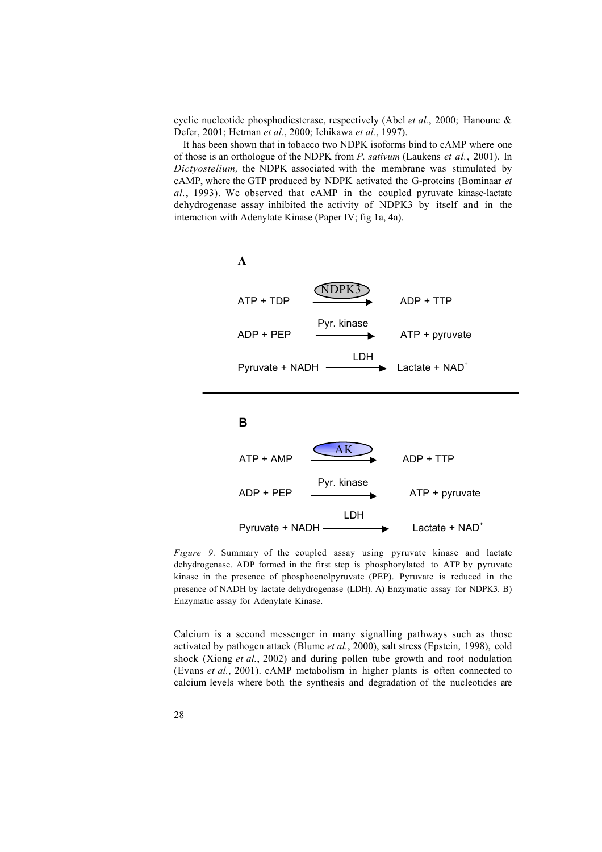cyclic nucleotide phosphodiesterase, respectively (Abel *et al.*, 2000; Hanoune & Defer, 2001; Hetman *et al.*, 2000; Ichikawa *et al.*, 1997).

It has been shown that in tobacco two NDPK isoforms bind to cAMP where one of those is an orthologue of the NDPK from *P. sativum* (Laukens *et al.*, 2001). In *Dictyostelium,* the NDPK associated with the membrane was stimulated by cAMP, where the GTP produced by NDPK activated the G-proteins (Bominaar *et al.*, 1993). We observed that cAMP in the coupled pyruvate kinase-lactate dehydrogenase assay inhibited the activity of NDPK3 by itself and in the interaction with Adenylate Kinase (Paper IV; fig 1a, 4a).



*Figure 9.* Summary of the coupled assay using pyruvate kinase and lactate dehydrogenase. ADP formed in the first step is phosphorylated to ATP by pyruvate kinase in the presence of phosphoenolpyruvate (PEP). Pyruvate is reduced in the presence of NADH by lactate dehydrogenase (LDH). A) Enzymatic assay for NDPK3. B) Enzymatic assay for Adenylate Kinase.

Calcium is a second messenger in many signalling pathways such as those activated by pathogen attack (Blume *et al.*, 2000), salt stress (Epstein, 1998), cold shock (Xiong *et al.*, 2002) and during pollen tube growth and root nodulation (Evans *et al.*, 2001). cAMP metabolism in higher plants is often connected to calcium levels where both the synthesis and degradation of the nucleotides are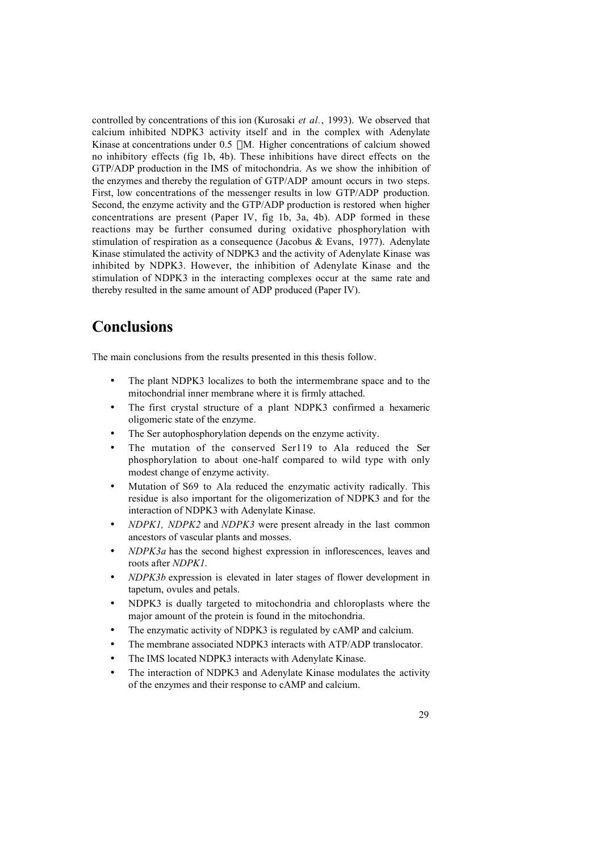controlled by concentrations of this ion (Kurosaki *et al.*, 1993). We observed that calcium inhibited NDPK3 activity itself and in the complex with Adenylate Kinase at concentrations under  $0.5 \mu M$ . Higher concentrations of calcium showed no inhibitory effects (fig 1b, 4b). These inhibitions have direct effects on the GTP/ADP production in the IMS of mitochondria. As we show the inhibition of the enzymes and thereby the regulation of GTP/ADP amount occurs in two steps. First, low concentrations of the messenger results in low GTP/ADP production. Second, the enzyme activity and the GTP/ADP production is restored when higher concentrations are present (Paper IV, fig 1b, 3a, 4b). ADP formed in these reactions may be further consumed during oxidative phosphorylation with stimulation of respiration as a consequence (Jacobus & Evans, 1977). Adenylate Kinase stimulated the activity of NDPK3 and the activity of Adenylate Kinase was inhibited by NDPK3. However, the inhibition of Adenylate Kinase and the stimulation of NDPK3 in the interacting complexes occur at the same rate and thereby resulted in the same amount of ADP produced (Paper IV).

## **Conclusions**

The main conclusions from the results presented in this thesis follow.

The plant NDPK3 localizes to both the intermembrane space and to the mitochondrial inner membrane where it is firmly attached.

The first crystal structure of a plant NDPK3 confirmed a hexameric oligomeric state of the enzyme.

The Ser autophosphorylation depends on the enzyme activity.

The mutation of the conserved Ser119 to Ala reduced the Ser phosphorylation to about one-half compared to wild type with only modest change of enzyme activity.

Mutation of S69 to Ala reduced the enzymatic activity radically. This residue is also important for the oligomerization of NDPK3 and for the interaction of NDPK3 with Adenylate Kinase.

*NDPK1, NDPK2* and *NDPK3* were present already in the last common ancestors of vascular plants and mosses.

*NDPK3a* has the second highest expression in inflorescences, leaves and roots after *NDPK1*.

*NDPK3b* expression is elevated in later stages of flower development in tapetum, ovules and petals.

NDPK3 is dually targeted to mitochondria and chloroplasts where the major amount of the protein is found in the mitochondria.

The enzymatic activity of NDPK3 is regulated by cAMP and calcium.

The membrane associated NDPK3 interacts with ATP/ADP translocator.

The IMS located NDPK3 interacts with Adenylate Kinase.

The interaction of NDPK3 and Adenylate Kinase modulates the activity of the enzymes and their response to cAMP and calcium.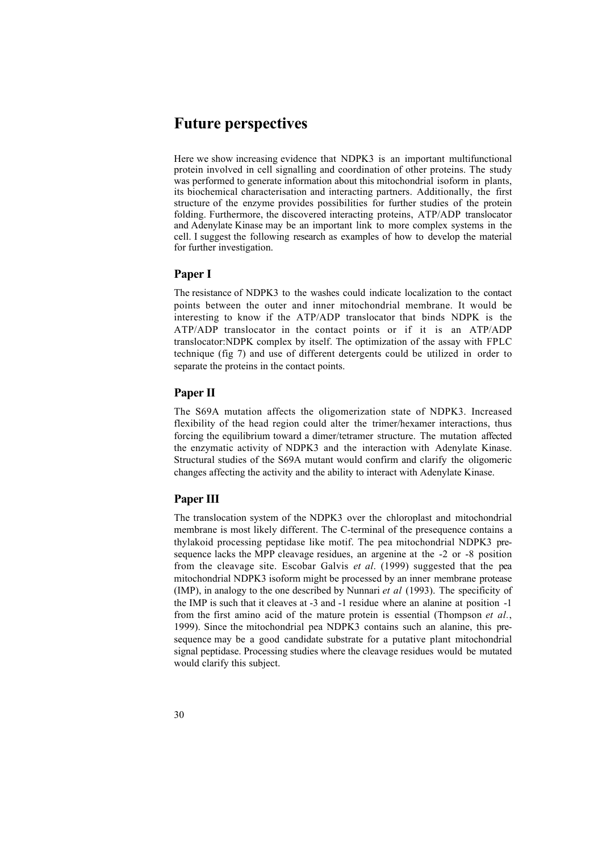## **Future perspectives**

Here we show increasing evidence that NDPK3 is an important multifunctional protein involved in cell signalling and coordination of other proteins. The study was performed to generate information about this mitochondrial isoform in plants, its biochemical characterisation and interacting partners. Additionally, the first structure of the enzyme provides possibilities for further studies of the protein folding. Furthermore, the discovered interacting proteins, ATP/ADP translocator and Adenylate Kinase may be an important link to more complex systems in the cell. I suggest the following research as examples of how to develop the material for further investigation.

### **Paper I**

The resistance of NDPK3 to the washes could indicate localization to the contact points between the outer and inner mitochondrial membrane. It would be interesting to know if the ATP/ADP translocator that binds NDPK is the ATP/ADP translocator in the contact points or if it is an ATP/ADP translocator:NDPK complex by itself. The optimization of the assay with FPLC technique (fig 7) and use of different detergents could be utilized in order to separate the proteins in the contact points.

## **Paper II**

The S69A mutation affects the oligomerization state of NDPK3. Increased flexibility of the head region could alter the trimer/hexamer interactions, thus forcing the equilibrium toward a dimer/tetramer structure. The mutation affected the enzymatic activity of NDPK3 and the interaction with Adenylate Kinase. Structural studies of the S69A mutant would confirm and clarify the oligomeric changes affecting the activity and the ability to interact with Adenylate Kinase.

### **Paper III**

The translocation system of the NDPK3 over the chloroplast and mitochondrial membrane is most likely different. The C-terminal of the presequence contains a thylakoid processing peptidase like motif. The pea mitochondrial NDPK3 presequence lacks the MPP cleavage residues, an argenine at the -2 or -8 position from the cleavage site. Escobar Galvis *et al*. (1999) suggested that the pea mitochondrial NDPK3 isoform might be processed by an inner membrane protease (IMP), in analogy to the one described by Nunnari *et al* (1993). The specificity of the IMP is such that it cleaves at -3 and -1 residue where an alanine at position -1 from the first amino acid of the mature protein is essential (Thompson *et al.*, 1999). Since the mitochondrial pea NDPK3 contains such an alanine, this presequence may be a good candidate substrate for a putative plant mitochondrial signal peptidase. Processing studies where the cleavage residues would be mutated would clarify this subject.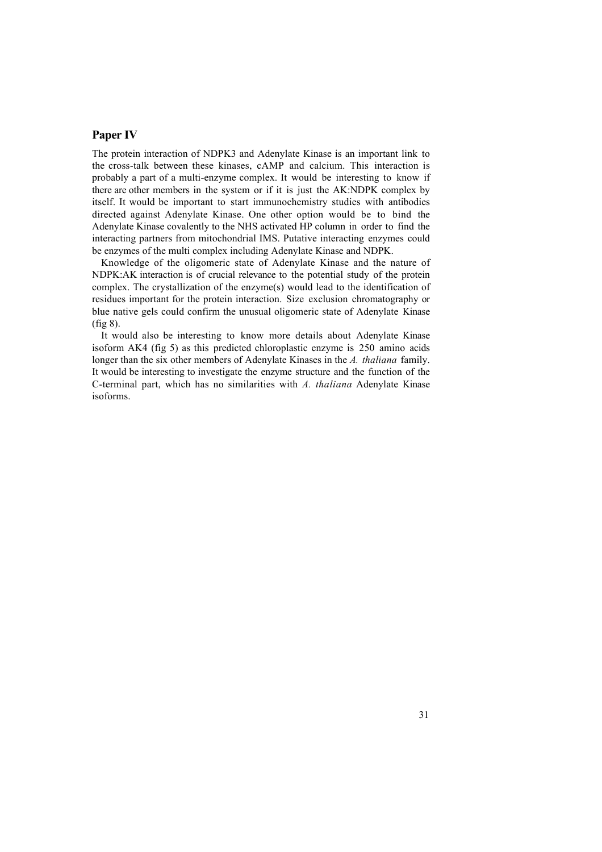## **Paper IV**

The protein interaction of NDPK3 and Adenylate Kinase is an important link to the cross-talk between these kinases, cAMP and calcium. This interaction is probably a part of a multi-enzyme complex. It would be interesting to know if there are other members in the system or if it is just the AK:NDPK complex by itself. It would be important to start immunochemistry studies with antibodies directed against Adenylate Kinase. One other option would be to bind the Adenylate Kinase covalently to the NHS activated HP column in order to find the interacting partners from mitochondrial IMS. Putative interacting enzymes could be enzymes of the multi complex including Adenylate Kinase and NDPK.

Knowledge of the oligomeric state of Adenylate Kinase and the nature of NDPK:AK interaction is of crucial relevance to the potential study of the protein complex. The crystallization of the enzyme(s) would lead to the identification of residues important for the protein interaction. Size exclusion chromatography or blue native gels could confirm the unusual oligomeric state of Adenylate Kinase (fig 8).

It would also be interesting to know more details about Adenylate Kinase isoform AK4 (fig 5) as this predicted chloroplastic enzyme is 250 amino acids longer than the six other members of Adenylate Kinases in the *A. thaliana* family. It would be interesting to investigate the enzyme structure and the function of the C-terminal part, which has no similarities with *A. thaliana* Adenylate Kinase isoforms.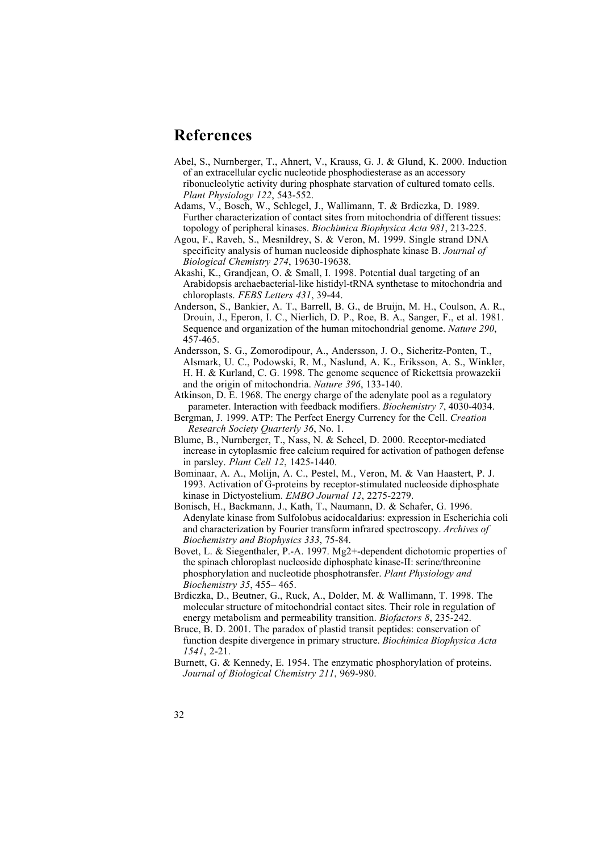## **References**

Abel, S., Nurnberger, T., Ahnert, V., Krauss, G. J. & Glund, K. 2000. Induction of an extracellular cyclic nucleotide phosphodiesterase as an accessory ribonucleolytic activity during phosphate starvation of cultured tomato cells. *Plant Physiology 122*, 543-552.

Adams, V., Bosch, W., Schlegel, J., Wallimann, T. & Brdiczka, D. 1989. Further characterization of contact sites from mitochondria of different tissues: topology of peripheral kinases. *Biochimica Biophysica Acta 981*, 213-225.

Agou, F., Raveh, S., Mesnildrey, S. & Veron, M. 1999. Single strand DNA specificity analysis of human nucleoside diphosphate kinase B. *Journal of Biological Chemistry 274*, 19630-19638.

Akashi, K., Grandjean, O. & Small, I. 1998. Potential dual targeting of an Arabidopsis archaebacterial-like histidyl-tRNA synthetase to mitochondria and chloroplasts. *FEBS Letters 431*, 39-44.

- Anderson, S., Bankier, A. T., Barrell, B. G., de Bruijn, M. H., Coulson, A. R., Drouin, J., Eperon, I. C., Nierlich, D. P., Roe, B. A., Sanger, F., et al. 1981. Sequence and organization of the human mitochondrial genome. *Nature 290*, 457-465.
- Andersson, S. G., Zomorodipour, A., Andersson, J. O., Sicheritz-Ponten, T., Alsmark, U. C., Podowski, R. M., Naslund, A. K., Eriksson, A. S., Winkler, H. H. & Kurland, C. G. 1998. The genome sequence of Rickettsia prowazekii and the origin of mitochondria. *Nature 396*, 133-140.

Atkinson, D. E. 1968. The energy charge of the adenylate pool as a regulatory parameter. Interaction with feedback modifiers. *Biochemistry 7*, 4030-4034.

- Bergman, J. 1999. ATP: The Perfect Energy Currency for the Cell. *Creation Research Society Quarterly 36*, No. 1.
- Blume, B., Nurnberger, T., Nass, N. & Scheel, D. 2000. Receptor-mediated increase in cytoplasmic free calcium required for activation of pathogen defense in parsley. *Plant Cell 12*, 1425-1440.
- Bominaar, A. A., Molijn, A. C., Pestel, M., Veron, M. & Van Haastert, P. J. 1993. Activation of G-proteins by receptor-stimulated nucleoside diphosphate kinase in Dictyostelium. *EMBO Journal 12*, 2275-2279.
- Bonisch, H., Backmann, J., Kath, T., Naumann, D. & Schafer, G. 1996. Adenylate kinase from Sulfolobus acidocaldarius: expression in Escherichia coli and characterization by Fourier transform infrared spectroscopy. *Archives of Biochemistry and Biophysics 333*, 75-84.
- Bovet, L. & Siegenthaler, P.-A. 1997. Mg2+-dependent dichotomic properties of the spinach chloroplast nucleoside diphosphate kinase-II: serine/threonine phosphorylation and nucleotide phosphotransfer. *Plant Physiology and Biochemistry 35*, 455– 465.
- Brdiczka, D., Beutner, G., Ruck, A., Dolder, M. & Wallimann, T. 1998. The molecular structure of mitochondrial contact sites. Their role in regulation of energy metabolism and permeability transition. *Biofactors 8*, 235-242.
- Bruce, B. D. 2001. The paradox of plastid transit peptides: conservation of function despite divergence in primary structure. *Biochimica Biophysica Acta 1541*, 2-21.
- Burnett, G. & Kennedy, E. 1954. The enzymatic phosphorylation of proteins. *Journal of Biological Chemistry 211*, 969-980.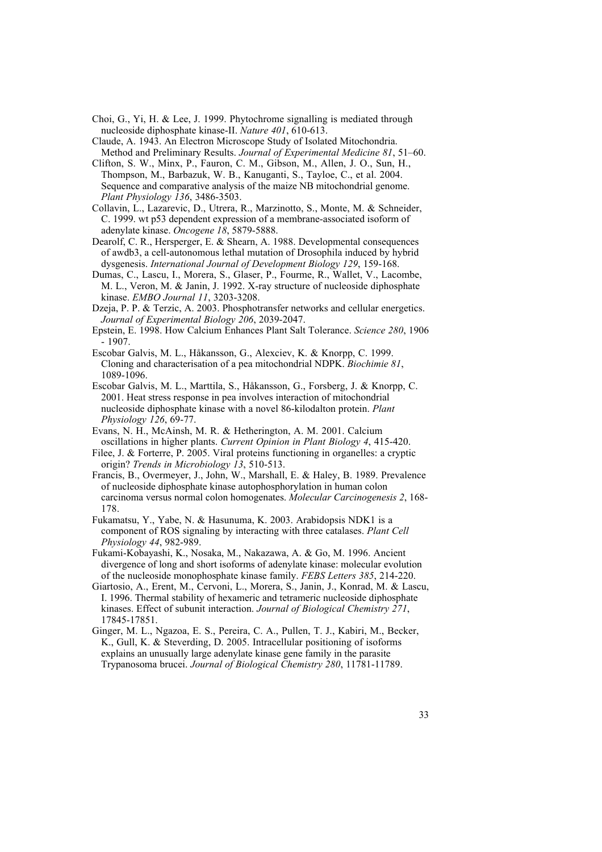- Choi, G., Yi, H. & Lee, J. 1999. Phytochrome signalling is mediated through nucleoside diphosphate kinase-II. *Nature 401*, 610-613.
- Claude, A. 1943. An Electron Microscope Study of Isolated Mitochondria. Method and Preliminary Results. *Journal of Experimental Medicine 81*, 51–60.
- Clifton, S. W., Minx, P., Fauron, C. M., Gibson, M., Allen, J. O., Sun, H., Thompson, M., Barbazuk, W. B., Kanuganti, S., Tayloe, C., et al. 2004. Sequence and comparative analysis of the maize NB mitochondrial genome. *Plant Physiology 136*, 3486-3503.
- Collavin, L., Lazarevic, D., Utrera, R., Marzinotto, S., Monte, M. & Schneider, C. 1999. wt p53 dependent expression of a membrane-associated isoform of adenylate kinase. *Oncogene 18*, 5879-5888.
- Dearolf, C. R., Hersperger, E. & Shearn, A. 1988. Developmental consequences of awdb3, a cell-autonomous lethal mutation of Drosophila induced by hybrid dysgenesis. *International Journal of Development Biology 129*, 159-168.
- Dumas, C., Lascu, I., Morera, S., Glaser, P., Fourme, R., Wallet, V., Lacombe, M. L., Veron, M. & Janin, J. 1992. X-ray structure of nucleoside diphosphate kinase. *EMBO Journal 11*, 3203-3208.
- Dzeja, P. P. & Terzic, A. 2003. Phosphotransfer networks and cellular energetics. *Journal of Experimental Biology 206*, 2039-2047.
- Epstein, E. 1998. How Calcium Enhances Plant Salt Tolerance. *Science 280*, 1906 - 1907.
- Escobar Galvis, M. L., Håkansson, G., Alexciev, K. & Knorpp, C. 1999. Cloning and characterisation of a pea mitochondrial NDPK. *Biochimie 81*, 1089-1096.
- Escobar Galvis, M. L., Marttila, S., Håkansson, G., Forsberg, J. & Knorpp, C. 2001. Heat stress response in pea involves interaction of mitochondrial nucleoside diphosphate kinase with a novel 86-kilodalton protein. *Plant Physiology 126*, 69-77.
- Evans, N. H., McAinsh, M. R. & Hetherington, A. M. 2001. Calcium oscillations in higher plants. *Current Opinion in Plant Biology 4*, 415-420.
- Filee, J. & Forterre, P. 2005. Viral proteins functioning in organelles: a cryptic origin? *Trends in Microbiology 13*, 510-513.
- Francis, B., Overmeyer, J., John, W., Marshall, E. & Haley, B. 1989. Prevalence of nucleoside diphosphate kinase autophosphorylation in human colon carcinoma versus normal colon homogenates. *Molecular Carcinogenesis 2*, 168- 178.
- Fukamatsu, Y., Yabe, N. & Hasunuma, K. 2003. Arabidopsis NDK1 is a component of ROS signaling by interacting with three catalases. *Plant Cell Physiology 44*, 982-989.
- Fukami-Kobayashi, K., Nosaka, M., Nakazawa, A. & Go, M. 1996. Ancient divergence of long and short isoforms of adenylate kinase: molecular evolution of the nucleoside monophosphate kinase family. *FEBS Letters 385*, 214-220.
- Giartosio, A., Erent, M., Cervoni, L., Morera, S., Janin, J., Konrad, M. & Lascu, I. 1996. Thermal stability of hexameric and tetrameric nucleoside diphosphate kinases. Effect of subunit interaction. *Journal of Biological Chemistry 271*, 17845-17851.
- Ginger, M. L., Ngazoa, E. S., Pereira, C. A., Pullen, T. J., Kabiri, M., Becker, K., Gull, K. & Steverding, D. 2005. Intracellular positioning of isoforms explains an unusually large adenylate kinase gene family in the parasite Trypanosoma brucei. *Journal of Biological Chemistry 280*, 11781-11789.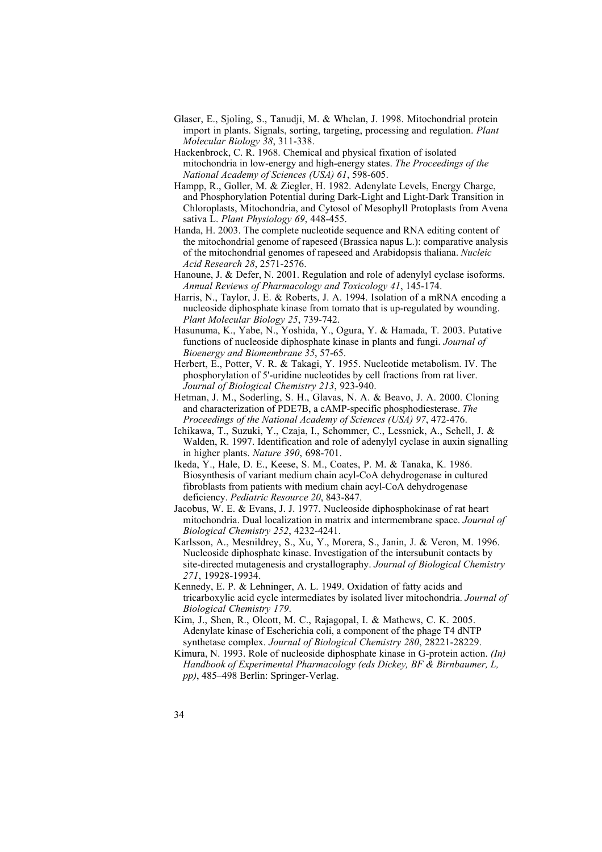- Glaser, E., Sjoling, S., Tanudji, M. & Whelan, J. 1998. Mitochondrial protein import in plants. Signals, sorting, targeting, processing and regulation. *Plant Molecular Biology 38*, 311-338.
- Hackenbrock, C. R. 1968. Chemical and physical fixation of isolated mitochondria in low-energy and high-energy states. *The Proceedings of the National Academy of Sciences (USA) 61*, 598-605.
- Hampp, R., Goller, M. & Ziegler, H. 1982. Adenylate Levels, Energy Charge, and Phosphorylation Potential during Dark-Light and Light-Dark Transition in Chloroplasts, Mitochondria, and Cytosol of Mesophyll Protoplasts from Avena sativa L. *Plant Physiology 69*, 448-455.
- Handa, H. 2003. The complete nucleotide sequence and RNA editing content of the mitochondrial genome of rapeseed (Brassica napus L.): comparative analysis of the mitochondrial genomes of rapeseed and Arabidopsis thaliana. *Nucleic Acid Research 28*, 2571-2576.
- Hanoune, J. & Defer, N. 2001. Regulation and role of adenylyl cyclase isoforms. *Annual Reviews of Pharmacology and Toxicology 41*, 145-174.
- Harris, N., Taylor, J. E. & Roberts, J. A. 1994. Isolation of a mRNA encoding a nucleoside diphosphate kinase from tomato that is up-regulated by wounding. *Plant Molecular Biology 25*, 739-742.
- Hasunuma, K., Yabe, N., Yoshida, Y., Ogura, Y. & Hamada, T. 2003. Putative functions of nucleoside diphosphate kinase in plants and fungi. *Journal of Bioenergy and Biomembrane 35*, 57-65.
- Herbert, E., Potter, V. R. & Takagi, Y. 1955. Nucleotide metabolism. IV. The phosphorylation of 5'-uridine nucleotides by cell fractions from rat liver. *Journal of Biological Chemistry 213*, 923-940.
- Hetman, J. M., Soderling, S. H., Glavas, N. A. & Beavo, J. A. 2000. Cloning and characterization of PDE7B, a cAMP-specific phosphodiesterase. *The Proceedings of the National Academy of Sciences (USA) 97*, 472-476.
- Ichikawa, T., Suzuki, Y., Czaja, I., Schommer, C., Lessnick, A., Schell, J. & Walden, R. 1997. Identification and role of adenylyl cyclase in auxin signalling in higher plants. *Nature 390*, 698-701.
- Ikeda, Y., Hale, D. E., Keese, S. M., Coates, P. M. & Tanaka, K. 1986. Biosynthesis of variant medium chain acyl-CoA dehydrogenase in cultured fibroblasts from patients with medium chain acyl-CoA dehydrogenase deficiency. *Pediatric Resource 20*, 843-847.
- Jacobus, W. E. & Evans, J. J. 1977. Nucleoside diphosphokinase of rat heart mitochondria. Dual localization in matrix and intermembrane space. *Journal of Biological Chemistry 252*, 4232-4241.
- Karlsson, A., Mesnildrey, S., Xu, Y., Morera, S., Janin, J. & Veron, M. 1996. Nucleoside diphosphate kinase. Investigation of the intersubunit contacts by site-directed mutagenesis and crystallography. *Journal of Biological Chemistry 271*, 19928-19934.
- Kennedy, E. P. & Lehninger, A. L. 1949. Oxidation of fatty acids and tricarboxylic acid cycle intermediates by isolated liver mitochondria. *Journal of Biological Chemistry 179*.
- Kim, J., Shen, R., Olcott, M. C., Rajagopal, I. & Mathews, C. K. 2005. Adenylate kinase of Escherichia coli, a component of the phage T4 dNTP synthetase complex. *Journal of Biological Chemistry 280*, 28221-28229.
- Kimura, N. 1993. Role of nucleoside diphosphate kinase in G-protein action. *(In) Handbook of Experimental Pharmacology (eds Dickey, BF & Birnbaumer, L, pp)*, 485–498 Berlin: Springer-Verlag.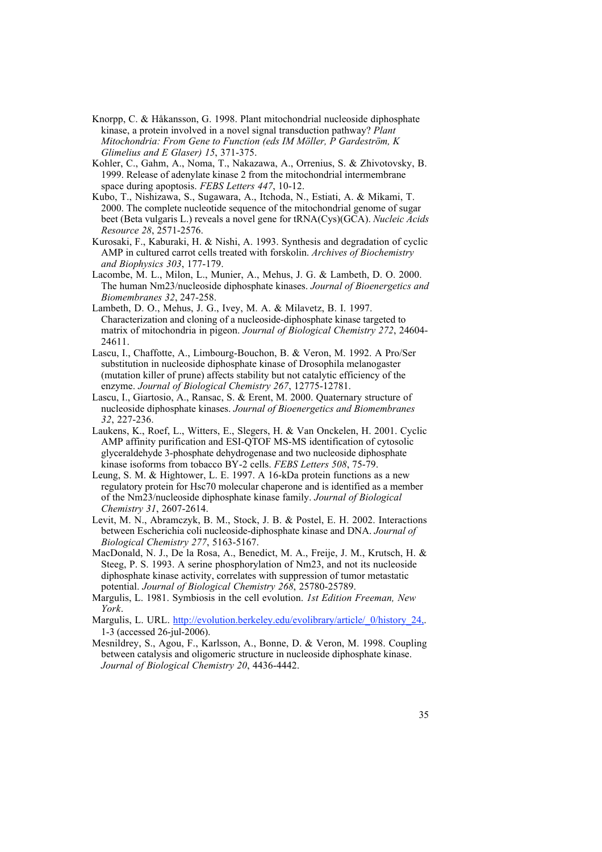- Knorpp, C. & Håkansson, G. 1998. Plant mitochondrial nucleoside diphosphate kinase, a protein involved in a novel signal transduction pathway? *Plant Mitochondria: From Gene to Function (eds IM Möller, P Gardeström, K Glimelius and E Glaser) 15*, 371-375.
- Kohler, C., Gahm, A., Noma, T., Nakazawa, A., Orrenius, S. & Zhivotovsky, B. 1999. Release of adenylate kinase 2 from the mitochondrial intermembrane space during apoptosis. *FEBS Letters 447*, 10-12.
- Kubo, T., Nishizawa, S., Sugawara, A., Itchoda, N., Estiati, A. & Mikami, T. 2000. The complete nucleotide sequence of the mitochondrial genome of sugar beet (Beta vulgaris L.) reveals a novel gene for tRNA(Cys)(GCA). *Nucleic Acids Resource 28*, 2571-2576.
- Kurosaki, F., Kaburaki, H. & Nishi, A. 1993. Synthesis and degradation of cyclic AMP in cultured carrot cells treated with forskolin. *Archives of Biochemistry and Biophysics 303*, 177-179.
- Lacombe, M. L., Milon, L., Munier, A., Mehus, J. G. & Lambeth, D. O. 2000. The human Nm23/nucleoside diphosphate kinases. *Journal of Bioenergetics and Biomembranes 32*, 247-258.
- Lambeth, D. O., Mehus, J. G., Ivey, M. A. & Milavetz, B. I. 1997. Characterization and cloning of a nucleoside-diphosphate kinase targeted to matrix of mitochondria in pigeon. *Journal of Biological Chemistry 272*, 24604- 24611.
- Lascu, I., Chaffotte, A., Limbourg-Bouchon, B. & Veron, M. 1992. A Pro/Ser substitution in nucleoside diphosphate kinase of Drosophila melanogaster (mutation killer of prune) affects stability but not catalytic efficiency of the enzyme. *Journal of Biological Chemistry 267*, 12775-12781.
- Lascu, I., Giartosio, A., Ransac, S. & Erent, M. 2000. Quaternary structure of nucleoside diphosphate kinases. *Journal of Bioenergetics and Biomembranes 32*, 227-236.
- Laukens, K., Roef, L., Witters, E., Slegers, H. & Van Onckelen, H. 2001. Cyclic AMP affinity purification and ESI-QTOF MS-MS identification of cytosolic glyceraldehyde 3-phosphate dehydrogenase and two nucleoside diphosphate kinase isoforms from tobacco BY-2 cells. *FEBS Letters 508*, 75-79.
- Leung, S. M. & Hightower, L. E. 1997. A 16-kDa protein functions as a new regulatory protein for Hsc70 molecular chaperone and is identified as a member of the Nm23/nucleoside diphosphate kinase family. *Journal of Biological Chemistry 31*, 2607-2614.
- Levit, M. N., Abramczyk, B. M., Stock, J. B. & Postel, E. H. 2002. Interactions between Escherichia coli nucleoside-diphosphate kinase and DNA. *Journal of Biological Chemistry 277*, 5163-5167.
- MacDonald, N. J., De la Rosa, A., Benedict, M. A., Freije, J. M., Krutsch, H. & Steeg, P. S. 1993. A serine phosphorylation of Nm23, and not its nucleoside diphosphate kinase activity, correlates with suppression of tumor metastatic potential. *Journal of Biological Chemistry 268*, 25780-25789.
- Margulis, L. 1981. Symbiosis in the cell evolution. *1st Edition Freeman, New York*.
- Margulis, L. URL. http://evolution.berkeley.edu/evolibrary/article/ 0/history 24, 1-3 (accessed 26-jul-2006).
- Mesnildrey, S., Agou, F., Karlsson, A., Bonne, D. & Veron, M. 1998. Coupling between catalysis and oligomeric structure in nucleoside diphosphate kinase. *Journal of Biological Chemistry 20*, 4436-4442.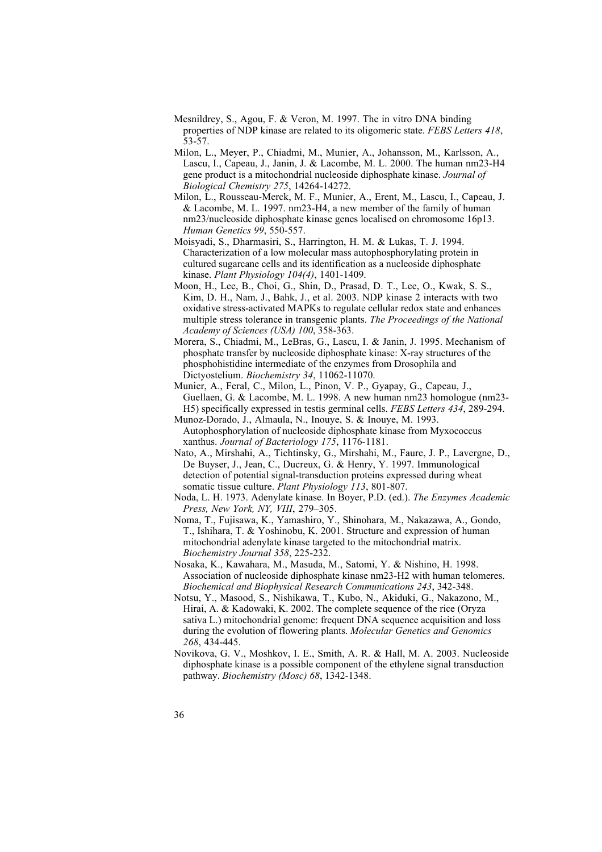- Mesnildrey, S., Agou, F. & Veron, M. 1997. The in vitro DNA binding properties of NDP kinase are related to its oligomeric state. *FEBS Letters 418*, 53-57.
- Milon, L., Meyer, P., Chiadmi, M., Munier, A., Johansson, M., Karlsson, A., Lascu, I., Capeau, J., Janin, J. & Lacombe, M. L. 2000. The human nm23-H4 gene product is a mitochondrial nucleoside diphosphate kinase. *Journal of Biological Chemistry 275*, 14264-14272.
- Milon, L., Rousseau-Merck, M. F., Munier, A., Erent, M., Lascu, I., Capeau, J. & Lacombe, M. L. 1997. nm23-H4, a new member of the family of human nm23/nucleoside diphosphate kinase genes localised on chromosome 16p13. *Human Genetics 99*, 550-557.
- Moisyadi, S., Dharmasiri, S., Harrington, H. M. & Lukas, T. J. 1994. Characterization of a low molecular mass autophosphorylating protein in cultured sugarcane cells and its identification as a nucleoside diphosphate kinase. *Plant Physiology 104(4)*, 1401-1409.
- Moon, H., Lee, B., Choi, G., Shin, D., Prasad, D. T., Lee, O., Kwak, S. S., Kim, D. H., Nam, J., Bahk, J., et al. 2003. NDP kinase 2 interacts with two oxidative stress-activated MAPKs to regulate cellular redox state and enhances multiple stress tolerance in transgenic plants. *The Proceedings of the National Academy of Sciences (USA) 100*, 358-363.
- Morera, S., Chiadmi, M., LeBras, G., Lascu, I. & Janin, J. 1995. Mechanism of phosphate transfer by nucleoside diphosphate kinase: X-ray structures of the phosphohistidine intermediate of the enzymes from Drosophila and Dictyostelium. *Biochemistry 34*, 11062-11070.
- Munier, A., Feral, C., Milon, L., Pinon, V. P., Gyapay, G., Capeau, J., Guellaen, G. & Lacombe, M. L. 1998. A new human nm23 homologue (nm23- H5) specifically expressed in testis germinal cells. *FEBS Letters 434*, 289-294.
- Munoz-Dorado, J., Almaula, N., Inouye, S. & Inouye, M. 1993. Autophosphorylation of nucleoside diphosphate kinase from Myxococcus xanthus. *Journal of Bacteriology 175*, 1176-1181.
- Nato, A., Mirshahi, A., Tichtinsky, G., Mirshahi, M., Faure, J. P., Lavergne, D., De Buyser, J., Jean, C., Ducreux, G. & Henry, Y. 1997. Immunological detection of potential signal-transduction proteins expressed during wheat somatic tissue culture. *Plant Physiology 113*, 801-807.
- Noda, L. H. 1973. Adenylate kinase. In Boyer, P.D. (ed.). *The Enzymes Academic Press, New York, NY, VIII*, 279–305.
- Noma, T., Fujisawa, K., Yamashiro, Y., Shinohara, M., Nakazawa, A., Gondo, T., Ishihara, T. & Yoshinobu, K. 2001. Structure and expression of human mitochondrial adenylate kinase targeted to the mitochondrial matrix. *Biochemistry Journal 358*, 225-232.
- Nosaka, K., Kawahara, M., Masuda, M., Satomi, Y. & Nishino, H. 1998. Association of nucleoside diphosphate kinase nm23-H2 with human telomeres. *Biochemical and Biophysical Research Communications 243*, 342-348.
- Notsu, Y., Masood, S., Nishikawa, T., Kubo, N., Akiduki, G., Nakazono, M., Hirai, A. & Kadowaki, K. 2002. The complete sequence of the rice (Oryza sativa L.) mitochondrial genome: frequent DNA sequence acquisition and loss during the evolution of flowering plants. *Molecular Genetics and Genomics 268*, 434-445.
- Novikova, G. V., Moshkov, I. E., Smith, A. R. & Hall, M. A. 2003. Nucleoside diphosphate kinase is a possible component of the ethylene signal transduction pathway. *Biochemistry (Mosc) 68*, 1342-1348.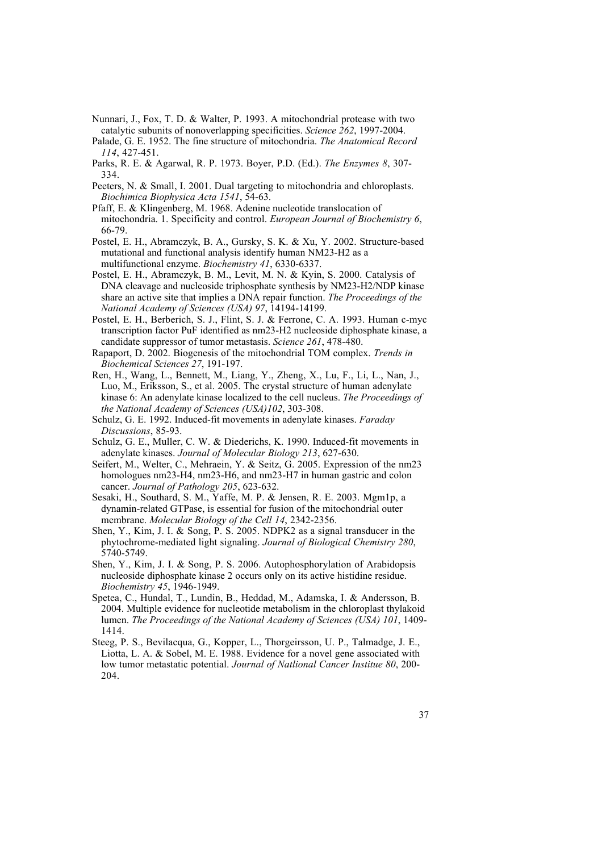- Nunnari, J., Fox, T. D. & Walter, P. 1993. A mitochondrial protease with two catalytic subunits of nonoverlapping specificities. *Science 262*, 1997-2004.
- Palade, G. E. 1952. The fine structure of mitochondria. *The Anatomical Record 114*, 427-451.
- Parks, R. E. & Agarwal, R. P. 1973. Boyer, P.D. (Ed.). *The Enzymes 8*, 307- 334.
- Peeters, N. & Small, I. 2001. Dual targeting to mitochondria and chloroplasts. *Biochimica Biophysica Acta 1541*, 54-63.
- Pfaff, E. & Klingenberg, M. 1968. Adenine nucleotide translocation of mitochondria. 1. Specificity and control. *European Journal of Biochemistry 6*, 66-79.
- Postel, E. H., Abramczyk, B. A., Gursky, S. K. & Xu, Y. 2002. Structure-based mutational and functional analysis identify human NM23-H2 as a multifunctional enzyme. *Biochemistry 41*, 6330-6337.
- Postel, E. H., Abramczyk, B. M., Levit, M. N. & Kyin, S. 2000. Catalysis of DNA cleavage and nucleoside triphosphate synthesis by NM23-H2/NDP kinase share an active site that implies a DNA repair function. *The Proceedings of the National Academy of Sciences (USA) 97*, 14194-14199.
- Postel, E. H., Berberich, S. J., Flint, S. J. & Ferrone, C. A. 1993. Human c-myc transcription factor PuF identified as nm23-H2 nucleoside diphosphate kinase, a candidate suppressor of tumor metastasis. *Science 261*, 478-480.
- Rapaport, D. 2002. Biogenesis of the mitochondrial TOM complex. *Trends in Biochemical Sciences 27*, 191-197.
- Ren, H., Wang, L., Bennett, M., Liang, Y., Zheng, X., Lu, F., Li, L., Nan, J., Luo, M., Eriksson, S., et al. 2005. The crystal structure of human adenylate kinase 6: An adenylate kinase localized to the cell nucleus. *The Proceedings of the National Academy of Sciences (USA)102*, 303-308.
- Schulz, G. E. 1992. Induced-fit movements in adenylate kinases. *Faraday Discussions*, 85-93.
- Schulz, G. E., Muller, C. W. & Diederichs, K. 1990. Induced-fit movements in adenylate kinases. *Journal of Molecular Biology 213*, 627-630.
- Seifert, M., Welter, C., Mehraein, Y. & Seitz, G. 2005. Expression of the nm23 homologues nm23-H4, nm23-H6, and nm23-H7 in human gastric and colon cancer. *Journal of Pathology 205*, 623-632.
- Sesaki, H., Southard, S. M., Yaffe, M. P. & Jensen, R. E. 2003. Mgm1p, a dynamin-related GTPase, is essential for fusion of the mitochondrial outer membrane. *Molecular Biology of the Cell 14*, 2342-2356.
- Shen, Y., Kim, J. I. & Song, P. S. 2005. NDPK2 as a signal transducer in the phytochrome-mediated light signaling. *Journal of Biological Chemistry 280*, 5740-5749.
- Shen, Y., Kim, J. I. & Song, P. S. 2006. Autophosphorylation of Arabidopsis nucleoside diphosphate kinase 2 occurs only on its active histidine residue. *Biochemistry 45*, 1946-1949.
- Spetea, C., Hundal, T., Lundin, B., Heddad, M., Adamska, I. & Andersson, B. 2004. Multiple evidence for nucleotide metabolism in the chloroplast thylakoid lumen. *The Proceedings of the National Academy of Sciences (USA) 101*, 1409- 1414.
- Steeg, P. S., Bevilacqua, G., Kopper, L., Thorgeirsson, U. P., Talmadge, J. E., Liotta, L. A. & Sobel, M. E. 1988. Evidence for a novel gene associated with low tumor metastatic potential. *Journal of Natlional Cancer Institue 80*, 200- 204.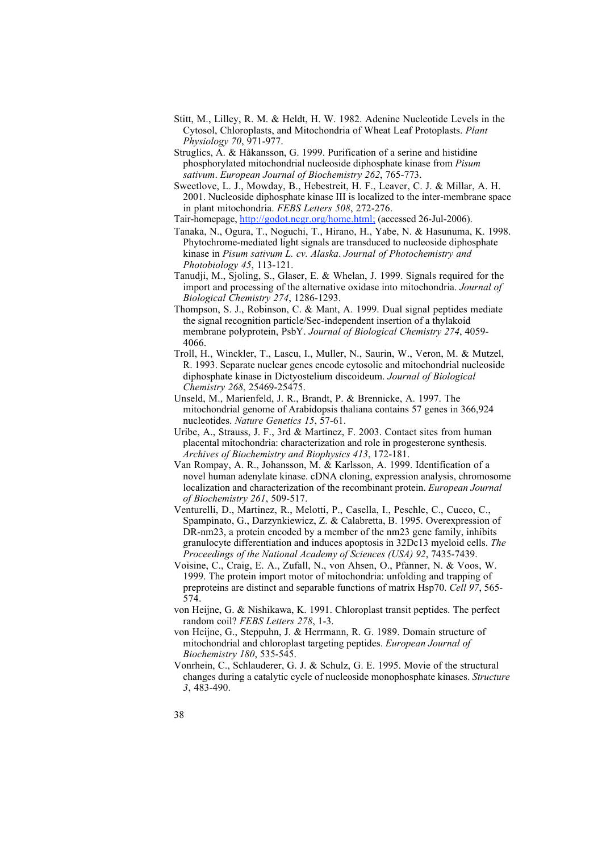- Stitt, M., Lilley, R. M. & Heldt, H. W. 1982. Adenine Nucleotide Levels in the Cytosol, Chloroplasts, and Mitochondria of Wheat Leaf Protoplasts. *Plant Physiology 70*, 971-977.
- Struglics, A. & Håkansson, G. 1999. Purification of a serine and histidine phosphorylated mitochondrial nucleoside diphosphate kinase from *Pisum sativum*. *European Journal of Biochemistry 262*, 765-773.
- Sweetlove, L. J., Mowday, B., Hebestreit, H. F., Leaver, C. J. & Millar, A. H. 2001. Nucleoside diphosphate kinase III is localized to the inter-membrane space in plant mitochondria. *FEBS Letters 508*, 272-276.
- Tair-homepage, http://godot.ncgr.org/home.html; (accessed 26-Jul-2006).
- Tanaka, N., Ogura, T., Noguchi, T., Hirano, H., Yabe, N. & Hasunuma, K. 1998. Phytochrome-mediated light signals are transduced to nucleoside diphosphate kinase in *Pisum sativum L. cv. Alaska*. *Journal of Photochemistry and Photobiology 45*, 113-121.
- Tanudji, M., Sjoling, S., Glaser, E. & Whelan, J. 1999. Signals required for the import and processing of the alternative oxidase into mitochondria. *Journal of Biological Chemistry 274*, 1286-1293.
- Thompson, S. J., Robinson, C. & Mant, A. 1999. Dual signal peptides mediate the signal recognition particle/Sec-independent insertion of a thylakoid membrane polyprotein, PsbY. *Journal of Biological Chemistry 274*, 4059- 4066.
- Troll, H., Winckler, T., Lascu, I., Muller, N., Saurin, W., Veron, M. & Mutzel, R. 1993. Separate nuclear genes encode cytosolic and mitochondrial nucleoside diphosphate kinase in Dictyostelium discoideum. *Journal of Biological Chemistry 268*, 25469-25475.
- Unseld, M., Marienfeld, J. R., Brandt, P. & Brennicke, A. 1997. The mitochondrial genome of Arabidopsis thaliana contains 57 genes in 366,924 nucleotides. *Nature Genetics 15*, 57-61.
- Uribe, A., Strauss, J. F., 3rd & Martinez, F. 2003. Contact sites from human placental mitochondria: characterization and role in progesterone synthesis. *Archives of Biochemistry and Biophysics 413*, 172-181.
- Van Rompay, A. R., Johansson, M. & Karlsson, A. 1999. Identification of a novel human adenylate kinase. cDNA cloning, expression analysis, chromosome localization and characterization of the recombinant protein. *European Journal of Biochemistry 261*, 509-517.
- Venturelli, D., Martinez, R., Melotti, P., Casella, I., Peschle, C., Cucco, C., Spampinato, G., Darzynkiewicz, Z. & Calabretta, B. 1995. Overexpression of DR-nm23, a protein encoded by a member of the nm23 gene family, inhibits granulocyte differentiation and induces apoptosis in 32Dc13 myeloid cells. *The Proceedings of the National Academy of Sciences (USA) 92*, 7435-7439.
- Voisine, C., Craig, E. A., Zufall, N., von Ahsen, O., Pfanner, N. & Voos, W. 1999. The protein import motor of mitochondria: unfolding and trapping of preproteins are distinct and separable functions of matrix Hsp70. *Cell 97*, 565- 574.
- von Heijne, G. & Nishikawa, K. 1991. Chloroplast transit peptides. The perfect random coil? *FEBS Letters 278*, 1-3.
- von Heijne, G., Steppuhn, J. & Herrmann, R. G. 1989. Domain structure of mitochondrial and chloroplast targeting peptides. *European Journal of Biochemistry 180*, 535-545.
- Vonrhein, C., Schlauderer, G. J. & Schulz, G. E. 1995. Movie of the structural changes during a catalytic cycle of nucleoside monophosphate kinases. *Structure 3*, 483-490.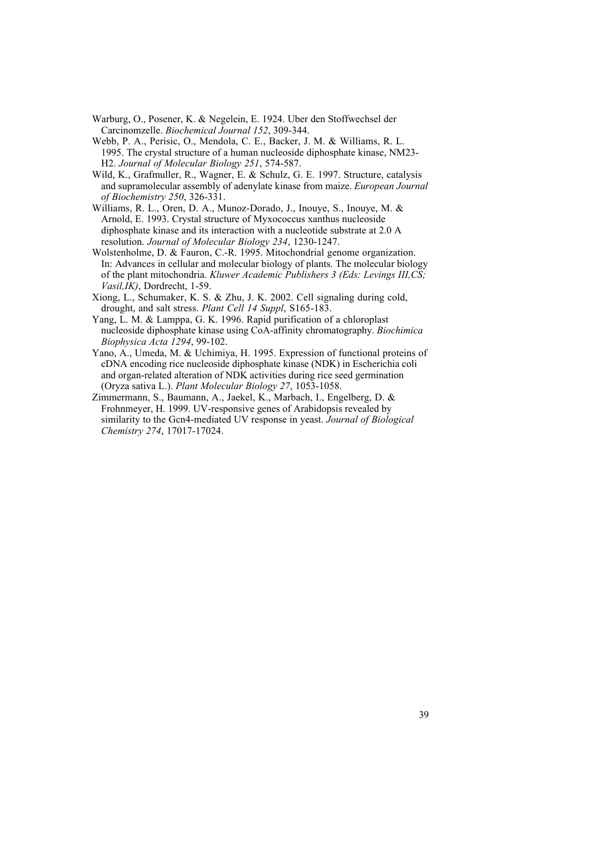- Warburg, O., Posener, K. & Negelein, E. 1924. Uber den Stoffwechsel der Carcinomzelle. *Biochemical Journal 152*, 309-344.
- Webb, P. A., Perisic, O., Mendola, C. E., Backer, J. M. & Williams, R. L. 1995. The crystal structure of a human nucleoside diphosphate kinase, NM23- H2. *Journal of Molecular Biology 251*, 574-587.
- Wild, K., Grafmuller, R., Wagner, E. & Schulz, G. E. 1997. Structure, catalysis and supramolecular assembly of adenylate kinase from maize. *European Journal of Biochemistry 250*, 326-331.
- Williams, R. L., Oren, D. A., Munoz-Dorado, J., Inouye, S., Inouye, M. & Arnold, E. 1993. Crystal structure of Myxococcus xanthus nucleoside diphosphate kinase and its interaction with a nucleotide substrate at 2.0 A resolution. *Journal of Molecular Biology 234*, 1230-1247.
- Wolstenholme, D. & Fauron, C.-R. 1995. Mitochondrial genome organization. In: Advances in cellular and molecular biology of plants. The molecular biology of the plant mitochondria. *Kluwer Academic Publishers 3 (Eds: Levings III,CS; Vasil,IK)*, Dordrecht, 1-59.
- Xiong, L., Schumaker, K. S. & Zhu, J. K. 2002. Cell signaling during cold, drought, and salt stress. *Plant Cell 14 Suppl*, S165-183.
- Yang, L. M. & Lamppa, G. K. 1996. Rapid purification of a chloroplast nucleoside diphosphate kinase using CoA-affinity chromatography. *Biochimica Biophysica Acta 1294*, 99-102.
- Yano, A., Umeda, M. & Uchimiya, H. 1995. Expression of functional proteins of cDNA encoding rice nucleoside diphosphate kinase (NDK) in Escherichia coli and organ-related alteration of NDK activities during rice seed germination (Oryza sativa L.). *Plant Molecular Biology 27*, 1053-1058.
- Zimmermann, S., Baumann, A., Jaekel, K., Marbach, I., Engelberg, D. & Frohnmeyer, H. 1999. UV-responsive genes of Arabidopsis revealed by similarity to the Gcn4-mediated UV response in yeast. *Journal of Biological Chemistry 274*, 17017-17024.